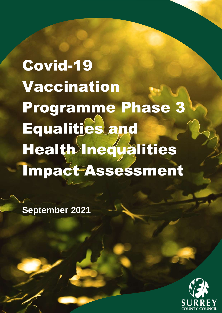Covid-19 Vaccination Programme Phase 3 Equalities and Health Inequalities Impact Assessment

**September 2021**

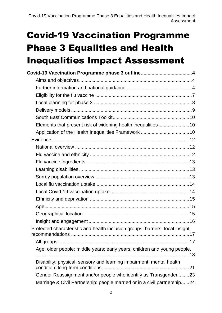| Covid-19 Vaccination Programme phase 3 outline4                                                                                              |  |
|----------------------------------------------------------------------------------------------------------------------------------------------|--|
|                                                                                                                                              |  |
|                                                                                                                                              |  |
|                                                                                                                                              |  |
|                                                                                                                                              |  |
|                                                                                                                                              |  |
|                                                                                                                                              |  |
| Elements that present risk of widening health inequalities10                                                                                 |  |
|                                                                                                                                              |  |
|                                                                                                                                              |  |
|                                                                                                                                              |  |
|                                                                                                                                              |  |
|                                                                                                                                              |  |
|                                                                                                                                              |  |
|                                                                                                                                              |  |
|                                                                                                                                              |  |
|                                                                                                                                              |  |
|                                                                                                                                              |  |
|                                                                                                                                              |  |
|                                                                                                                                              |  |
|                                                                                                                                              |  |
| Protected characteristic and health inclusion groups: barriers, local insight,                                                               |  |
|                                                                                                                                              |  |
| Age: older people; middle years; early years; children and young people.                                                                     |  |
| Disability: physical, sensory and learning impairment; mental health                                                                         |  |
| Gender Reassignment and/or people who identify as Transgender 23<br>Marriage & Civil Partnership: people married or in a civil partnership24 |  |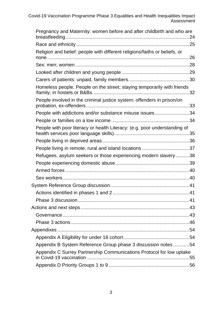| Pregnancy and Maternity: women before and after childbirth and who are     |  |
|----------------------------------------------------------------------------|--|
|                                                                            |  |
| Religion and belief: people with different religions/faiths or beliefs, or |  |
|                                                                            |  |
|                                                                            |  |
|                                                                            |  |
| Homeless people. People on the street; staying temporarily with friends    |  |
| People involved in the criminal justice system: offenders in prison/on     |  |
| People with addictions and/or substance misuse issues34                    |  |
|                                                                            |  |
| People with poor literacy or health Literacy: (e.g. poor understanding of  |  |
|                                                                            |  |
| People living in remote, rural and island locations 37                     |  |
| Refugees, asylum seekers or those experiencing modern slavery 38           |  |
|                                                                            |  |
|                                                                            |  |
|                                                                            |  |
|                                                                            |  |
|                                                                            |  |
|                                                                            |  |
|                                                                            |  |
|                                                                            |  |
|                                                                            |  |
|                                                                            |  |
|                                                                            |  |
| Appendix B System Reference Group phase 3 discussion notes 54              |  |
| Appendix C Surrey Partnership Communications Protocol for low uptake       |  |
|                                                                            |  |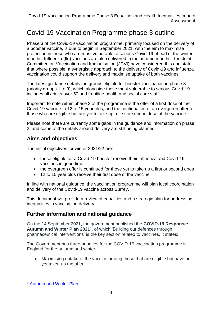## <span id="page-3-0"></span>Covid-19 Vaccination Programme phase 3 outline

Phase 3 of the Covid-19 vaccination programme, primarily focused on the delivery of a booster vaccine, is due to begin in September 2021, with the aim to maximise protection in those who are most vulnerable to serious Covid-19 ahead of the winter months. Influenza (flu) vaccines are also delivered in the autumn months. The Joint Committee on Vaccination and Immunisation (JCVI) have considered this and state that where possible, a synergistic approach to the delivery of Covid-19 and influenza vaccination could support the delivery and maximise uptake of both vaccines.

The latest guidance details the groups eligible for booster vaccination in phase 3 (priority groups 1 to 9), which alongside those most vulnerable to serious Covid-19 includes all adults over 50 and frontline health and social care staff.

Important to note within phase 3 of the programme is the offer of a first dose of the Covid-19 vaccine to 12 to 15 year olds, and the continuation of an evergreen offer to those who are eligible but are yet to take up a first or second dose of the vaccine.

Please note there are currently some gaps in the guidance and information on phase 3, and some of the details around delivery are still being planned.

#### <span id="page-3-1"></span>**Aims and objectives**

The initial objectives for winter 2021/22 are:

- those eligible for a Covid-19 booster receive their influenza and Covid-19 vaccines in good time
- the evergreen offer is continued for those yet to take up a first or second does
- 12 to 15 year olds receive their first dose of the vaccine

In line with national guidance, the vaccination programme will plan local coordination and delivery of the Covid-19 vaccine across Surrey.

This document will provide a review of equalities and a strategic plan for addressing inequalities in vaccination delivery.

#### <span id="page-3-2"></span>**Further information and national guidance**

On the 14 September 2021, the government published the **COVID-19 Response: Autumn and Winter Plan 2021**<sup>1</sup> , of which 'Building our defences through pharmaceutical interventions' is the key section related to vaccines. It states:

The Government has three priorities for the COVID-19 vaccination programme in England for the autumn and winter:

• Maximising uptake of the vaccine among those that are eligible but have not yet taken up the offer.

<sup>1</sup> [Autumn and Winter Plan](https://www.gov.uk/government/publications/covid-19-response-autumn-and-winter-plan-2021)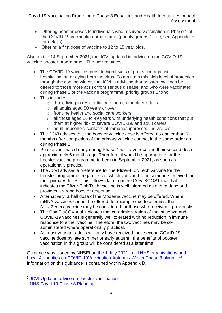- Offering booster doses to individuals who received vaccination in Phase 1 of the COVID-19 vaccination programme (priority groups 1 to 9, see Appendix E for details).
- Offering a first dose of vaccine to 12 to 15 year olds.

Also on the 14 September 2021, the JCVI updated its advice on the COVID-19 vaccine booster programme. <sup>2</sup> The advice states:

- The COVID-19 vaccines provide high levels of protection against hospitalisation or dying from the virus. To maintain this high level of protection through the coming winter, the JCVI is advising that booster vaccines be offered to those more at risk from serious disease, and who were vaccinated during Phase 1 of the vaccine programme (priority groups 1 to 9).
- This includes:
	- o those living in residential care homes for older adults
	- o all adults aged 50 years or over
	- o frontline health and social care workers
	- $\circ$  all those aged 16 to 49 years with underlying health conditions that put them at higher risk of severe COVID-19, and adult carers
	- o adult household contacts of immunosuppressed individuals
- The JCVI advises that the booster vaccine dose is offered no earlier than 6 months after completion of the primary vaccine course, in the same order as during Phase 1.
- People vaccinated early during Phase 1 will have received their second dose approximately 6 months ago. Therefore, it would be appropriate for the booster vaccine programme to begin in September 2021, as soon as operationally practical.
- The JCVI advises a preference for the Pfizer-BioNTech vaccine for the booster programme, regardless of which vaccine brand someone received for their primary doses. This follows data from the COV-BOOST trial that indicates the Pfizer-BioNTech vaccine is well tolerated as a third dose and provides a strong booster response.
- Alternatively, a half dose of the Moderna vaccine may be offered. Where mRNA vaccines cannot be offered, for example due to allergies, the AstraZeneca vaccine may be considered for those who received it previously.
- The ComFluCOV trial indicates that co-administration of the influenza and COVID-19 vaccines is generally well tolerated with no reduction in immune response to either vaccine. Therefore, the two vaccines may be coadministered where operationally practical.
- As most younger adults will only have received their second COVID-19 vaccine dose by late summer or early autumn, the benefits of booster vaccination in this group will be considered at a later time.

Guidance was issued by NHSEI on the 1 [July 2021 to all NHS organisations and](https://www.england.nhs.uk/coronavirus/wp-content/uploads/sites/52/2021/07/C1327-covid-19-vaccination-autumn-winter-phase-3-planning.pdf)  [Local Authorities on COVID-19Vaccination Autumn / Winter Phase 3 planning](https://www.england.nhs.uk/coronavirus/wp-content/uploads/sites/52/2021/07/C1327-covid-19-vaccination-autumn-winter-phase-3-planning.pdf)<sup>3</sup>. Information on this guidance is contained within Appendix D.

<sup>2</sup> [JCVI Updated advice on booster vaccination](https://www.gov.uk/government/news/jcvi-issues-updated-advice-on-covid-19-booster-vaccination)

<sup>3</sup> [NHS Covid 19 Phase 3 Planning](https://www.england.nhs.uk/coronavirus/wp-content/uploads/sites/52/2021/07/C1327-Covid-19-vaccination-autumn-winter-phase-3-planning.pdf)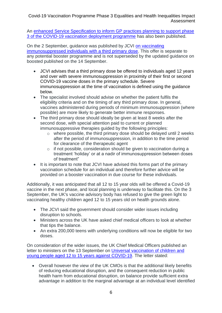An [enhanced Service Specification to inform GP practices planning to support phase](https://www.england.nhs.uk/coronavirus/publication/enhanced-service-specification-phase-3-coronavirus-vaccination/)  [3 of the COVID-19 vaccination deployment programme](https://www.england.nhs.uk/coronavirus/publication/enhanced-service-specification-phase-3-coronavirus-vaccination/) has also been published.

On the 2 September, guidance was published by JCVI [on vaccinating](https://www.gov.uk/government/news/jcvi-issues-advice-on-third-dose-vaccination-for-severely-immunosuppressed)  [immunosuppressed individuals with a third primary dose.](https://www.gov.uk/government/news/jcvi-issues-advice-on-third-dose-vaccination-for-severely-immunosuppressed) This offer is separate to any potential booster programme and is not superseded by the updated guidance on boosted published on the 14 September.

- JCVI advises that a third primary dose be offered to individuals aged 12 years and over with severe immunosuppression in proximity of their first or second COVID-19 vaccine doses in the primary schedule. Severe immunosuppression at the time of vaccination is defined using the guidance below.
- The specialist involved should advise on whether the patient fulfils the eligibility criteria and on the timing of any third primary dose. In general, vaccines administered during periods of minimum immunosuppression (where possible) are more likely to generate better immune responses.
- The third primary dose should ideally be given at least 8 weeks after the second dose, with special attention paid to current or planned immunosuppressive therapies quided by the following principles:
	- o where possible, the third primary dose should be delayed until 2 weeks after the period of immunosuppression, in addition to the time period for clearance of the therapeutic agent
	- o if not possible, consideration should be given to vaccination during a treatment 'holiday' or at a nadir of immunosuppression between doses of treatment"
- It is important to note that JCVI have advised this forms part of the primary vaccination schedule for an individual and therefore further advice will be provided on a booster vaccination in due course for these individuals.

Additionally, it was anticipated that all 12 to 15 year olds will be offered a Covid-19 vaccine in the next phase, and local planning is underway to facilitate this. On the 3 September, the UK's vaccine advisory body has refused to give the green light to vaccinating healthy children aged 12 to 15 years old on health grounds alone.

- The JCVI said the government should consider wider issues including disruption to schools.
- Ministers across the UK have asked chief medical officers to look at whether that tips the balance.
- An extra 200,000 teens with underlying conditions will now be eligible for two doses.

On consideration of the wider issues, the UK Chief Medical Officers published an letter to ministers on the 13 September on [Universal vaccination of children and](https://www.gov.uk/government/publications/universal-vaccination-of-children-and-young-people-aged-12-to-15-years-against-covid-19)  [young people aged 12 to 15 years against COVID-19.](https://www.gov.uk/government/publications/universal-vaccination-of-children-and-young-people-aged-12-to-15-years-against-covid-19) The letter stated:

• Overall however the view of the UK CMOs is that the additional likely benefits of reducing educational disruption, and the consequent reduction in public health harm from educational disruption, on balance provide sufficient extra advantage in addition to the marginal advantage at an individual level identified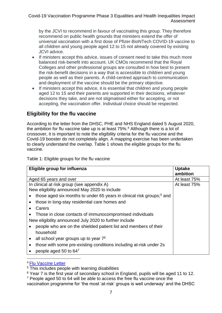by the JCVI to recommend in favour of vaccinating this group. They therefore recommend on public health grounds that ministers extend the offer of universal vaccination with a first dose of Pfizer-BioNTech COVID-19 vaccine to all children and young people aged 12 to 15 not already covered by existing JCVI advice.

- If ministers accept this advice, issues of consent need to take this much more balanced risk-benefit into account. UK CMOs recommend that the Royal Colleges and other professional groups are consulted in how best to present the risk-benefit decisions in a way that is accessible to children and young people as well as their parents. A child-centred approach to communication and deployment of the vaccine should be the primary objective.
- If ministers accept this advice, it is essential that children and young people aged 12 to 15 and their parents are supported in their decisions, whatever decisions they take, and are not stigmatised either for accepting, or not accepting, the vaccination offer. Individual choice should be respected.

#### <span id="page-6-0"></span>**Eligibility for the flu vaccine**

According to the letter from the DHSC, PHE and NHS England dated 5 August 2020, the ambition for flu vaccine take up is at least 75%.<sup>4</sup> Although there is a lot of crossover, it is important to note the eligibility criteria for the flu vaccine and the Covid-19 booster do not completely align. A mapping exercise has been undertaken to clearly understand the overlap. Table 1 shows the eligible groups for the flu vaccine.

Table 1: Eligible groups for the flu vaccine

| Eligible group for influenza                                                      | <b>Uptake</b> |
|-----------------------------------------------------------------------------------|---------------|
|                                                                                   | ambition      |
| Aged 65 years and over                                                            | At least 75%  |
| In clinical at risk group (see appendix A)                                        | At least 75%  |
| New eligibility announced May 2020 to include                                     |               |
| those aged six months to under 65 years in clinical risk groups; <sup>5</sup> and |               |
| those in long-stay residential care homes and                                     |               |
| Carers                                                                            |               |
| Those in close contacts of immunocompromised individuals                          |               |
| New eligibility announced July 2020 to further include                            |               |
| people who are on the shielded patient list and members of their                  |               |
| household                                                                         |               |
| all school year groups up to year $76$<br>$\bullet$                               |               |
| those with some pre-existing conditions including at-risk under 2s<br>$\bullet$   |               |
| people aged 50 to 647                                                             |               |

#### <sup>4</sup> [Flu Vaccine Letter](https://www.england.nhs.uk/wp-content/uploads/2020/05/Letter_AnnualFlu_2020-21_20200805.pdf)

<sup>5</sup> This includes people with learning disabilities

- <sup>6</sup> Year 7 is the first year of secondary school in England, pupils will be aged 11 to 12.
- <sup>7</sup> People aged 50 to 64 will be able to access the free flu vaccine once the
- vaccination programme for 'the most 'at-risk' groups is well underway' and the DHSC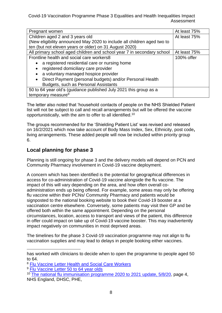| Pregnant women                                                          | At least 75% |
|-------------------------------------------------------------------------|--------------|
| Children aged 2 and 3 years old                                         | At least 75% |
| (New eligibility announced May 2020 to include all children aged two to |              |
| ten (but not eleven years or older) on 31 August 2020)                  |              |
| All primary school aged children and school year 7 in secondary school  | At least 75% |
| Frontline health and social care workers8                               | 100% offer   |
| a registered residential care or nursing home                           |              |
| registered domiciliary care provider<br>$\bullet$                       |              |
| a voluntary managed hospice provider<br>$\bullet$                       |              |
| Direct Payment (personal budgets) and/or Personal Health<br>$\bullet$   |              |
| Budgets, such as Personal Assistants                                    |              |
| 50 to 64 year old's (guidance published July 2021 this group as a       |              |
| temporary measure <sup>9</sup>                                          |              |

The letter also noted that 'household contacts of people on the NHS Shielded Patient list will not be subject to call and recall arrangements but will be offered the vaccine opportunistically, with the aim to offer to all identified.<sup>10</sup>

The groups recommended for the 'Shielding Patient List' was revised and released on 16/2/2021 which now take account of Body Mass Index, Sex, Ethnicity, post code**,** living arrangements. These added people will now be included within priority group 6.

#### <span id="page-7-0"></span>**Local planning for phase 3**

Planning is still ongoing for phase 3 and the delivery models will depend on PCN and Community Pharmacy involvement in Covid-19 vaccine deployment.

A concern which has been identified is the potential for geographical differences in access for co-administration of Covid-19 vaccine alongside the flu vaccine. The impact of this will vary depending on the area, and how often overall coadministration ends up being offered. For example, some areas may only be offering flu vaccine within their PCNs/ Community Pharmacy and patients would be signposted to the national booking website to book their Covid-19 booster at a vaccination centre elsewhere. Conversely, some patients may visit their GP and be offered both within the same appointment. Depending on the personal circumstances, location, access to transport and views of the patient, this difference in offer could impact on take up of Covid-19 vaccine booster. This may inadvertently impact negatively on communities in most deprived areas.

The timelines for the phase 3 Covid-19 vaccination programme may not align to flu vaccination supplies and may lead to delays in people booking either vaccines.

has worked with clinicians to decide when to open the programme to people aged 50 to 64.

<sup>8</sup> Flu Vaccine Letter [Health and Social Care Workers](https://www.gov.uk/government/publications/national-flu-immunisation-programme-plan/national-flu-immunisation-programme-2021-to-2022-letter)

<sup>&</sup>lt;sup>9</sup> [Flu Vaccine Letter 50 to](https://www.gov.uk/government/publications/national-flu-immunisation-programme-plan/national-flu-immunisation-programme-2021-to-2022-letter) 64 year olds

<sup>&</sup>lt;sup>10</sup> [The national flu immunisation programme 2020 to 2021](https://www.england.nhs.uk/wp-content/uploads/2020/05/Letter_AnnualFlu_2020-21_20200805.pdf) update, 5/8/20, page 4, NHS England, DHSC, PHE,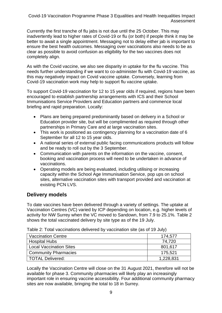Currently the first tranche of flu jabs is not due until the 25 October. This may inadvertently lead to higher rates of Covid-19 or flu (or both) if people think it may be better to await a single appointment. Messaging not to delay either jab is important to ensure the best health outcomes. Messaging over vaccinations also needs to be as clear as possible to avoid confusion as eligibility for the two vaccines does not completely align.

As with the Covid vaccine, we also see disparity in uptake for the flu vaccine. This needs further understanding if we want to co-administer flu with Covid-19 vaccine, as this may negatively impact on Covid vaccine uptake. Conversely, learning from Covid-19 vaccination work may help to support flu vaccine uptake.

To support Covid-19 vaccination for 12 to 15 year olds if required, regions have been encouraged to establish partnership arrangements with ICS and their School Immunisations Service Providers and Education partners and commence local briefing and rapid preparation. Locally:

- Plans are being prepared predominantly based on delivery in a School or Education provider site, but will be complimented as required through other partnerships in Primary Care and at large vaccination sites.
- This work is positioned as contingency planning for a vaccination date of 6 September for all 12 to 15 year olds.
- A national series of external public facing communications products will follow and be ready to roll out by the 3 September.
- Communication with parents on the information on the vaccine, consent, booking and vaccination process will need to be undertaken in advance of vaccinations.
- Operating models are being evaluated, including utilising or increasing capacity within the School Age Immunisation Service, pop ups on school sites, alternative vaccination sites with transport provided and vaccination at existing PCN LVS.

#### <span id="page-8-0"></span>**Delivery models**

To date vaccines have been delivered through a variety of settings. The uptake at Vaccination Centres (VC) varied by ICP depending on location, e.g. higher levels of activity for NW Surrey when the VC moved to Sandown, from 7.9 to 25.1%. Table 2 shows the total vaccinated delivery by site type as of the 19 July.

| <b>Vaccination Centre</b>      | 174,577   |
|--------------------------------|-----------|
| <b>Hospital Hubs</b>           | 74,720    |
| <b>Local Vaccination Sites</b> | 801,617   |
| <b>Community Pharmacies</b>    | 175,521   |
| TOTAL Delivered:               | 1,228,831 |

Table 2: Total vaccinations delivered by vaccination site (as of 19 July)

Locally the Vaccination Centre will close on the 31 August 2021, therefore will not be available for phase 3. Community pharmacies will likely play an increasingly important role in ensuring vaccine accessibility. Four additional community pharmacy sites are now available, bringing the total to 18 in Surrey.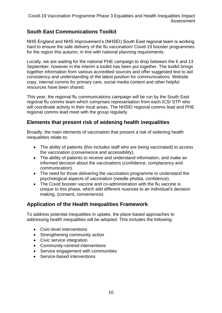#### <span id="page-9-0"></span>**South East Communications Toolkit**

NHS England and NHS Improvement's (NHSEI) South East regional team is working hard to ensure the safe delivery of the flu vaccination/ Covid-19 booster programmes for the region this autumn, in line with national planning requirements.

Locally, we are waiting for the national PHE campaign to drop between the 6 and 13 September, however in the interim a toolkit has been put together. The toolkit brings together information from various accredited sources and offer suggested text to aid consistency and understanding of the latest position for communications. Website copy, internal comms for primary care, social media content and other helpful resources have been shared.

This year, the regional flu communications campaign will be run by the South East regional flu comms team which comprises representation from each ICS/ STP who will coordinate activity in their local areas. The NHSEI regional comms lead and PHE regional comms lead meet with the group regularly.

#### <span id="page-9-1"></span>**Elements that present risk of widening health inequalities**

Broadly, the main elements of vaccination that present a risk of widening health inequalities relate to:

- The ability of patients (this includes staff who are being vaccinated) to access the vaccination (convenience and accessibility).
- The ability of patients to receive and understand information, and make an informed decision about the vaccinations (confidence, complacency and communication).
- The need for those delivering the vaccination programme to understand the psychological aspects of vaccination (needle phobia, confidence).
- The Covid booster vaccine and co-administration with the flu vaccine is unique to this phase, which add different nuances to an individual's decision making. (consent, convenience).

#### <span id="page-9-2"></span>**Application of the Health Inequalities Framework**

To address potential inequalities in uptake, the place-based approaches to addressing health inequalities will be adopted. This includes the following:

- Civic-level interventions
- Strengthening community action
- Civic service integration
- Community-centred interventions
- Service engagement with communities
- Service-based interventions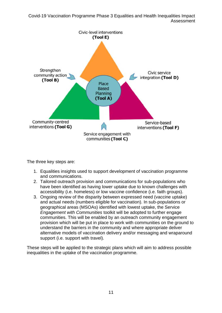

The three key steps are:

- 1. Equalities insights used to support development of vaccination programme and communications.
- 2. Tailored outreach provision and communications for sub-populations who have been identified as having lower uptake due to known challenges with accessibility (i.e. homeless) or low vaccine confidence (i.e. faith groups).
- 3. Ongoing review of the disparity between expressed need (vaccine uptake) and actual needs (numbers eligible for vaccination). In sub-populations or geographical areas (MSOAs) identified with lowest uptake, the Service *Engagement with Communities* toolkit will be adopted to further engage communities. This will be enabled by an outreach community engagement provision which will be put in place to work with communities on the ground to understand the barriers in the community and where appropriate deliver alternative models of vaccination delivery and/or messaging and wraparound support (i.e. support with travel).

These steps will be applied to the strategic plans which will aim to address possible inequalities in the uptake of the vaccination programme.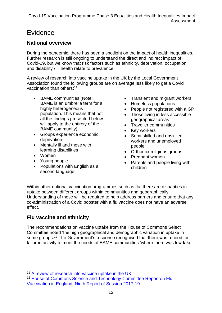## <span id="page-11-0"></span>Evidence

#### <span id="page-11-1"></span>**National overview**

During the pandemic, there has been a spotlight on the impact of health inequalities. Further research is still ongoing to understand the direct and indirect impact of Covid-19, but we know that risk factors such as ethnicity, deprivation, occupation and disability / ill health relate to prevalence.

A review of research into vaccine uptake in the UK by the Local Government Association found the following groups are on average less likely to get a Covid vaccination than others:<sup>11</sup>

- BAME communities (Note: BAME is an umbrella term for a highly heterogeneous population. This means that not all the findings presented below will apply to the entirety of the BAME community)
- Groups experience economic deprivation
- Mentally ill and those with learning disabilities
- Women
- Young people
- Populations with English as a second language
- Transient and migrant workers
- Homeless populations
- People not registered with a GP
- Those living in less accessible geographical areas
- Traveller communities
- Key workers
- Semi-skilled and unskilled workers and unemployed people
- Orthodox religious groups
- Pregnant women
- Parents and people living with children

Within other national vaccination programmes such as flu, there are disparities in uptake between different groups within communities and geographically. Understanding of these will be required to help address barriers and ensure that any co-administration of a Covid booster with a flu vaccine does not have an adverse effect.

#### <span id="page-11-2"></span>**Flu vaccine and ethnicity**

The recommendations on vaccine uptake from the House of Commons Select Committee noted 'the high geographical and demographic variation in uptake in some groups.<sup>12</sup> The Government's response recognised that there was a need for tailored activity to meet the needs of BAME communities 'where there was low take-

<sup>&</sup>lt;sup>11</sup> [A review of research into vaccine uptake in the UK](https://www.local.gov.uk/our-support/coronavirus-information-councils/Covid-19-service-information/Covid-19-vaccinations/behavioural-insights/resources/research)

<sup>12</sup> [House of Commons Science and Technology Committee Report on Flu](https://publications.parliament.uk/pa/cm201719/cmselect/cmsctech/853/853.pdf)  [Vaccination in England: Ninth Report of Session 2017-19](https://publications.parliament.uk/pa/cm201719/cmselect/cmsctech/853/853.pdf)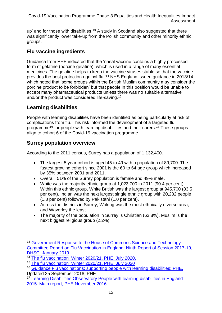up' and for those with disabilities.<sup>13</sup> A study in Scotland also suggested that there was significantly lower take-up from the Polish community and other minority ethnic groups.

#### <span id="page-12-0"></span>**Flu vaccine ingredients**

Guidance from PHE indicated that the 'nasal vaccine contains a highly processed form of gelatine (porcine gelatine), which is used in a range of many essential medicines. The gelatine helps to keep the vaccine viruses stable so that the vaccine provides the best protection against flu.'<sup>14</sup> NHS England issued guidance in 2013/14 which noted that 'some groups within the British Muslim community may consider the porcine product to be forbidden' but that people in this position would be unable to accept many pharmaceutical products unless there was no suitable alternative and/or the product was considered life-saving.<sup>15</sup>

#### <span id="page-12-1"></span>**Learning disabilities**

People with learning disabilities have been identified as being particularly at risk of complications from flu. This risk informed the development of a targeted flu programme<sup>16</sup> for people with learning disabilities and their carers.<sup>17</sup> These groups align to cohort 6 of the Covid-19 vaccination programme.

#### <span id="page-12-2"></span>**Surrey population overview**

According to the 2011 census, Surrey has a population of 1,132,400.

- The largest 5 year cohort is aged 45 to 49 with a population of 89,700. The fastest growing cohort since 2001 is the 60 to 64 age group which increased by 35% between 2001 and 2011.
- Overall, 51% of the Surrey population is female and 49% male.
- White was the majority ethnic group at 1,023,700 in 2011 (90.4 per cent). Within this ethnic group, White British was the largest group at 945,700 (83.5 per cent). Indian was the next largest single ethnic group with 20,232 people (1.8 per cent) followed by Pakistani (1.0 per cent).
- Across the districts in Surrey, Woking was the most ethnically diverse area, and Waverley the least.
- The majority of the population in Surrey is Christian (62.8%). Muslim is the next biggest religious group (2.2%).

<sup>&</sup>lt;sup>13</sup> Government Response to the House of Commons Science and Technology [Committee Report on Flu Vaccination in England: Ninth Report of Session 2017-19,](https://assets.publishing.service.gov.uk/government/uploads/system/uploads/attachment_data/file/769777/government-response-to-report-on-flu-vaccination-in-england.pdf)  [DHSC, January 2019](https://assets.publishing.service.gov.uk/government/uploads/system/uploads/attachment_data/file/769777/government-response-to-report-on-flu-vaccination-in-england.pdf)

<sup>14</sup> [The flu vaccination Winter 2020/21, PHE, July 2020,](https://assets.publishing.service.gov.uk/government/uploads/system/uploads/attachment_data/file/806856/PHE_Flu_Vaccination_12pp_A5_booklet_2019.pdf) 

<sup>15</sup> [The flu vaccination Winter 2020/21, PHE, July 2020](https://assets.publishing.service.gov.uk/government/uploads/system/uploads/attachment_data/file/806856/PHE_Flu_Vaccination_12pp_A5_booklet_2019.pdf)

<sup>16</sup> [Guidance Flu vaccinations: supporting people with learning](https://www.gov.uk/government/publications/flu-vaccinations-for-people-with-learning-disabilities/flu-vaccinations-supporting-people-with-learning-disabilities) disabilities: PHE, Updated 25 September 2018, PHE

<sup>&</sup>lt;sup>17</sup> Learning Disabilities Observatory People with learning disabilities in England [2015: Main report, PHE November 2016](https://assets.publishing.service.gov.uk/government/uploads/system/uploads/attachment_data/file/613182/PWLDIE_2015_main_report_NB090517.pdf)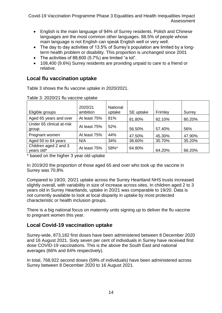- English is the main language of 94% of Surrey residents. Polish and Chinese languages are the most common other languages. 88.5% of people whose main language is not English can speak English well or very well.
- The day to day activities of 13.5% of Surrey's population are limited by a longterm health problem or disability. This proportion is unchanged since 2001
- The activities of 88,600 (5.7%) are limited "a lot".
- 108,400 (9.6%) Surrey residents are providing unpaid to care to a friend or relative.

#### <span id="page-13-0"></span>**Local flu vaccination uptake**

Table 3 shows the flu vaccine uptake in 2020/2021.

|                                     | 2020/21      | <b>National</b> |           |         |        |
|-------------------------------------|--------------|-----------------|-----------|---------|--------|
| Eligible groups                     | ambition     | uptake          | SE uptake | Frimley | Surrey |
| Aged 65 years and over              | At least 75% | 81%             | 81.80%    | 82.10%  | 80.20% |
| Under 65 clinical at-risk<br>group  | At least 75% | 52%             | 56.50%    | 57.40%  | 56%    |
| Pregnant women                      | At least 75% | 44%             | 47.50%    | 45.30%  | 47.90% |
| Aged 50 to 64 years                 | N/A          | 34%             | 36.60%    | 35.70%  | 35.20% |
| Children aged 2 and 3<br>years old* | At least 75% | 58%*            | 64.80%    | 64.20%  | 66.20% |

Table 3: 2020/21 flu vaccine uptake

\* based on the higher 3 year old uptake

In 2019/20 the proportion of those aged 65 and over who took up the vaccine in Surrey was 70.8%.

Compared to 19/20, 20/21 uptake across the Surrey Heartland NHS trusts increased slightly overall, with variability in size of increase across sites. In children aged 2 to 3 years old in Surrey Heartlands, uptake in 20/21 was comparable to 19/20. Data is not currently available to look at local disparity in uptake by most protected characteristic or health inclusion groups.

There is a big national focus on maternity units signing up to deliver the flu vaccine to pregnant women this year.

#### <span id="page-13-1"></span>**Local Covid-19 vaccination uptake**

Surrey-wide, 873,182 first doses have been administered between 8 December 2020 and 16 August 2021. Sixty seven per cent of individuals in Surrey have received first dose COVID-19 vaccinations. This is the above the South East and national averages (66% and 64% respectively).

In total, 768,922 second doses (59% of individuals) have been administered across Surrey between 8 December 2020 to 16 August 2021.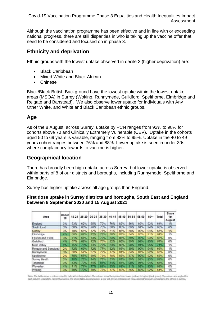Although the vaccination programme has been effective and in line with or exceeding national progress, there are still disparities in who is taking up the vaccine offer that need to be considered and focused on in phase 3.

#### <span id="page-14-0"></span>**Ethnicity and deprivation**

Ethnic groups with the lowest uptake observed in decile 2 (higher deprivation) are:

- Black Caribbean
- Mixed White and Black African
- Chinese

Black/Black British Background have the lowest uptake within the lowest uptake areas (MSOA) in Surrey (Woking, Runnymede, Guildford, Spelthorne, Elmbridge and Reigate and Banstead). We also observe lower uptake for individuals with Any Other White, and White and Black Caribbean ethnic groups.

#### <span id="page-14-1"></span>**Age**

As of the 8 August, across Surrey, uptake by PCN ranges from 92% to 98% for cohorts above 70 and Clinically Extremely Vulnerable (CEV). Uptake in the cohorts aged 50 to 69 years is variable, ranging from 83% to 95%. Uptake in the 40 to 49 years cohort ranges between 76% and 88%. Lower uptake is seen in under 30s, where complacency towards to vaccine is higher.

#### <span id="page-14-2"></span>**Geographical location**

There has broadly been high uptake across Surrey, but lower uptake is observed within parts of 8 of our districts and boroughs, including Runnymede, Spelthorne and Elmbridge.

Surrey has higher uptake across all age groups than England.

#### **First dose uptake in Surrey districts and boroughs, South East and England between 8 September 2020 and 15 August 2021**

| Area                 | Under<br>18 | $18 - 24$  | 25-29 | 30-34 | 35-39 | 40-44      | 45-49 | $50 - 54$ | 55-59      | $60+$ | Total | Since<br>1st<br>August |
|----------------------|-------------|------------|-------|-------|-------|------------|-------|-----------|------------|-------|-------|------------------------|
| England              | 3%          | 63%        | 62%   | 65%   | 70%   | 76%        | 82%   | 86%       | 89%        | 93%   | 64%   | 1%                     |
| South East           | 3%          | 68%        | 66%   | 70%   | 75%   | 80%        | 85%   | 89%       | 91%        | 94%   | 66%   | 0%                     |
| Surrey               | 3%          | <b>70%</b> | 68%   | 72%   | 77%   | 81%        | 85%   | 88%       | 90%        | 94%   | 67%   | 1%                     |
| Elmbndge             | 45          | 68%        | 67%   | 72%   | 78%   | 80%        | 82%   | 84%       | 86%        | 91%   | 64%   | 1%                     |
| Epsom and Ewell      | 3%          | 71%        | 67%   | 73%   | 79%   | 83%        | 86%   | 89%       | 90%        | 93%   | 66%   | 0%                     |
| Guildford            | 4%          | 67%        | 69%   | 72%   | 75%   | 82%        | 86%   | 89%       | 91%        | 95%   | 67%   | 0%                     |
| Mole Valley          | 48          | 7633       | 73%   | 73%   | 79%   | 83%        | 86%   | 90%       | 91%        | 95%   | 71%   | 1%                     |
| Reigate and Banstead | 2%          | 72%        | 69%   | 72%   | 77%   | 82%        | 86%   | 89%       | 90%        | 94%   | 66%   | 1%                     |
| Runnymede            | 3%          | 60%        | 57%   | 67%   | 72%   | <b>77%</b> | 81%   | 84%       | 87%        | 92%   | 63%   | 0%                     |
| Speithorne           | 2%          | 70%        | 67%   | 69%   | 73%   | 78%        | 83%   | 87%       | 90%        | 92%   | 65%   | 0%                     |
| Surrey Heath         | 3%          | 7893       | 72%   | 74%   | 78%   | 83%        | 87%   | 89%       | 91%        | 95%   | 69%   | 0%                     |
| Tandridge            | 3%          | 73%        | 70%   | 74%   | 81%   | 84%        | 87%   | 90%       | 91%        | 94%   | 68%   | 0%                     |
| Waverley             | 494         | 71%        | 71%   | 7753  | 81%   | 85%        | 89%   | 91%       | <b>R2%</b> | 95%   | 69%   | 0%                     |
| Moking               | 3%          | 70%        | 707   | 70%   | 73%   | 77%        | 82%   | 85%       | 89%        | 92%   | 64%   | 1%                     |

Note: The table above is colour-coded to help with interpretation. The colours show the uptake from lower (yellow) to higher (dark green). The colours are applied for<br>each column separately, rather than across the whole ta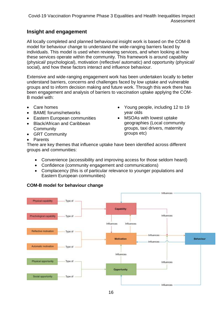#### <span id="page-15-0"></span>**Insight and engagement**

All locally completed and planned behavioural insight work is based on the COM-B model for behaviour change to understand the wide-ranging barriers faced by individuals. This model is used when reviewing services, and when looking at how these services operate within the community. This framework is around capability (physical/ psychological), motivation (reflective/ automatic) and opportunity (physical/ social), and how these factors interact and influence behaviour.

Extensive and wide-ranging engagement work has been undertaken locally to better understand barriers, concerns and challenges faced by low uptake and vulnerable groups and to inform decision making and future work. Through this work there has been engagement and analysis of barriers to vaccination uptake applying the COM-B model with:

- Care homes
- BAME forums/networks
- Eastern European communities
- Black/African and Caribbean **Community**
- GRT Community
- **Parents**
- Young people, including 12 to 19 year olds
- MSOAs with lowest uptake geographies (Local community groups, taxi drivers, maternity groups etc)

There are key themes that influence uptake have been identified across different groups and communities:

- Convenience (accessibility and improving access for those seldom heard)
- Confidence (community engagement and communications)
- Complacency (this is of particular relevance to younger populations and Eastern European communities)

#### **COM-B model for behaviour change**

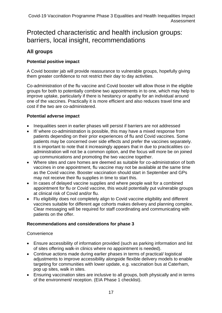## <span id="page-16-0"></span>Protected characteristic and health inclusion groups: barriers, local insight, recommendations

#### <span id="page-16-1"></span>**All groups**

#### **Potential positive impact**

A Covid booster jab will provide reassurance to vulnerable groups, hopefully giving them greater confidence to not restrict their day to day activities.

Co-administration of the flu vaccine and Covid booster will allow those in the eligible groups for both to potentially combine two appointments in to one, which may help to improve uptake, particularly if there is hesitancy or apathy for an individual around one of the vaccines. Practically it is more efficient and also reduces travel time and cost if the two are co-administered.

#### **Potential adverse impact**

- Inequalities seen in earlier phases will persist if barriers are not addressed
- If/ where co-administration is possible, this may have a mixed response from patients depending on their prior experiences of flu and Covid vaccines. Some patients may be concerned over side effects and prefer the vaccines separately. It is important to note that it increasingly appears that in due to practicalities coadministration will not be a common option, and the focus will more be on joined up communications and promoting the two vaccine together.
- Where sites and care homes are deemed as suitable for co-administration of both vaccines in one appointment, flu vaccine may not be available at the same time as the Covid vaccine. Booster vaccination should start in September and GPs may not receive their flu supplies in time to start this.
- In cases of delayed vaccine supplies and where people wait for a combined appointment for flu or Covid vaccine, this would potentially put vulnerable groups at clinical risk of Covid and/or flu.
- Flu eligibility does not completely align to Covid vaccine eligibility and different vaccines suitable for different age cohorts makes delivery and planning complex. Clear messaging will be required for staff coordinating and communicating with patients on the offer.

#### **Recommendations and considerations for phase 3**

#### **Convenience**

- Ensure accessibility of information provided (such as parking information and list of sites offering walk-in clinics where no appointment is needed).
- Continue actions made during earlier phases in terms of practical/ logistical adjustments to improve accessibility alongside flexible delivery models to enable targeting for communities with lower update, e.g. vaccination bus at Caterham, pop up sites, walk in sites.
- Ensuring vaccination sites are inclusive to all groups, both physically and in terms of the environment/ reception. (EIA Phase 1 checklist).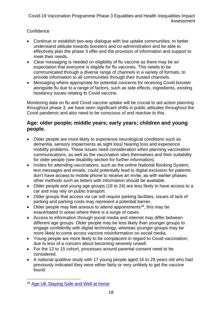#### **Confidence**

- Continue or establish two-way dialogue with low uptake communities, to better understand attitude towards boosters and co-administration and be able to effectively plan the phase 3 offer and the provision of information and support to meet their needs.
- Clear messaging is needed on eligibility of flu vaccine as there may be an expectation that everyone is eligible for flu vaccines. This needs to be communicated through a diverse range of channels in a variety of formats, to provide information to all communities through their trusted channels.
- Messaging where appropriate for potential concerns for receiving Covid booster alongside flu due to a range of factors, such as side effects, ingredients, existing hesitancy issues relating to Covid vaccine.

Monitoring data on flu and Covid vaccine uptake will be crucial to aid action planning throughout phase 3, we have seen significant shifts in public attitudes throughout the Covid pandemic and also need to be conscious of and reactive to this.

#### <span id="page-17-0"></span>**Age: older people; middle years; early years; children and young people.**

- Older people are more likely to experience neurological conditions such as dementia, sensory impairments as sight loss/ hearing loss and experience mobility problems. These issues need consideration when planning vaccination communications, as well as the vaccination sites themselves and their suitability for older people (see disability section for further information).
- Invites for attending vaccinations, such as the online National Booking System, text messages and emails, could potentially lead to digital exclusion for patients don't have access to mobile phone to receive an invite, as with earlier phases other methods such as letters with information should be available.
- Older people and young age groups (18 to 24) are less likely to have access to a car and may rely on public transport.
- Older groups that access via car will require parking facilities, issues of lack of parking and parking costs may represent a potential barrier.
- Older people may feel anxious to attend appointments<sup>18</sup>, this may be exacerbated in areas where there is a surge of cases.
- Access to information through social media and internet may differ between different age groups. Older people may be less likely than younger groups to engage confidently with digital technology, whereas younger groups may be more likely to come across vaccine misinformation on social media.
- Young people are more likely to be complacent in regard to Covid vaccination, due to less of a concern about becoming severely unwell.
- For the 12 to 15 cohort, processes around parental consent need to be considered.
- A national qualitive study with 17 young people aged 16 to 29 years old who had previously indicated they were either fairly or very unlikely to get the vaccine found:

<sup>18</sup> [Age UK Staying Safe and Well at home](https://www.ageuk.org.uk/information-advice/coronavirus/staying-safe-and-well-at-home/coronavirus-anxious/)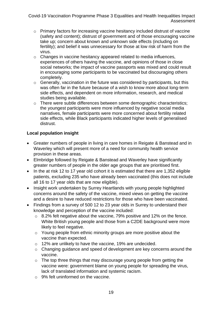- o Primary factors for increasing vaccine hesitancy included distrust of vaccine (safety and content); distrust of government and of those encouraging vaccine take up; concern about known and unknown side effects (including on fertility); and belief it was unnecessary for those at low risk of harm from the virus.
- o Changes in vaccine hesitancy appeared related to media influences, experiences of others having the vaccine, and opinions of those in close social networks; the impact of vaccine passports was mixed and could result in encouraging some participants to be vaccinated but discouraging others completely.
- $\circ$  Generally, vaccination in the future was considered by participants, but this was often far in the future because of a wish to know more about long-term side effects, and dependent on more information, research, and medical studies being available.
- o There were subtle differences between some demographic characteristics; the youngest participants were more influenced by negative social media narratives, female participants were more concerned about fertility related side effects, while Black participants indicated higher levels of generalised distrust.

#### **Local population insight**

- Greater numbers of people in living in care homes in Reigate & Banstead and in Waverley which will present more of a need for community health service provision in these areas.
- Elmbridge followed by Reigate & Banstead and Waverley have significantly greater numbers of people in the older age groups that are prioritised first.
- In the at risk 12 to 17 year old cohort it is estimated that there are 1,352 eligible patients, excluding 235 who have already been vaccinated (this does not include all 16 to 17 year olds that are now eligible).
- Insight work undertaken by Surrey Heartlands with young people highlighted concerns around the safety of the vaccine, mixed views on getting the vaccine and a desire to have reduced restrictions for those who have been vaccinated.
- Findings from a survey of 500 12 to 23 year olds in Surrey to understand their knowledge and perception of the vaccine included:
	- $\circ$  8.2% felt negative about the vaccine, 79% positive and 12% on the fence. White British young people and those from a C2DE background were more likely to feel negative.
	- o Young people from ethnic minority groups are more positive about the vaccine than expected.
	- o 12% are unlikely to have the vaccine, 19% are undecided.
	- o Changing guidance and speed of development are key concerns around the vaccine.
	- $\circ$  The top three things that may discourage young people from getting the vaccine were: government blame on young people for spreading the virus, lack of translated information and systemic racism.
	- $\circ$  9% felt uninformed on the vaccine.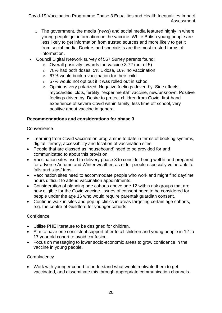- $\circ$  The government, the media (news) and social media featured highly in where young people get information on the vaccine. White British young people are less likely to get information from trusted sources and more likely to get it from social media. Doctors and specialists are the most trusted forms of information.
- Council Digital Network survey of 557 Surrey parents found:
	- o Overall positivity towards the vaccine 3.72 (out of 5)
	- o 78% had both doses, 5% 1 dose, 16% no vaccination
	- $\circ$  67% would book a vaccination for their child
	- o 57% would not opt out if it was rolled out in school
	- o Opinions very polarized. Negative feelings driven by: Side effects, myocarditis, clots, fertility, "experimental" vaccine, new/unknown. Positive feelings driven by: Desire to protect children from Covid, first-hand experience of severe Covid within family, less time off school, very positive about vaccine in general

#### **Recommendations and considerations for phase 3**

#### **Convenience**

- Learning from Covid vaccination programme to date in terms of booking systems, digital literacy, accessibility and location of vaccination sites.
- People that are classed as 'housebound' need to be provided for and communicated to about this provision.
- Vaccination sites used to delivery phase 3 to consider being well lit and prepared for adverse Autumn and Winter weather, as older people especially vulnerable to falls and slips/ trips.
- Vaccination sites need to accommodate people who work and might find daytime hours difficult to attend vaccination appointments.
- Consideration of planning age cohorts above age 12 within risk groups that are now eligible for the Covid vaccine. Issues of consent need to be considered for people under the age 16 who would require parental/ guardian consent.
- Continue walk in sites and pop up clinics in areas targeting certain age cohorts, e.g. the centre of Guildford for younger cohorts.

#### **Confidence**

- Utilise PHE literature to be designed for children.
- Aim to have one consistent support offer to all children and young people in 12 to 17 year old cohort to avoid confusion.
- Focus on messaging to lower socio-economic areas to grow confidence in the vaccine in young people.

#### **Complacency**

• Work with younger cohort to understand what would motivate them to get vaccinated, and disseminate this through appropriate communication channels.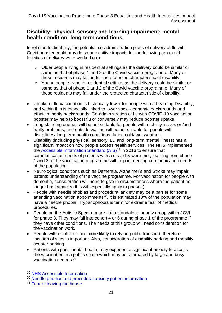#### <span id="page-20-0"></span>**Disability: physical, sensory and learning impairment; mental health condition; long-term conditions.**

In relation to disability, the potential co-administration plans of delivery of flu with Covid booster could provide some positive impacts for the following groups (if logistics of delivery were worked out):

- o Older people living in residential settings as the delivery could be similar or same as that of phase 1 and 2 of the Covid vaccine programme. Many of these residents may fall under the protected characteristic of disability.
- o Young people living in residential settings as the delivery could be similar or same as that of phase 1 and 2 of the Covid vaccine programme. Many of these residents may fall under the protected characteristic of disability.
- Uptake of flu vaccination is historically lower for people with a Learning Disability, and within this is especially linked to lower socio-economic backgrounds and ethnic minority backgrounds. Co-administration of flu with COVID-19 vaccination booster may help to boost flu or conversely may reduce booster uptake.
- Long standing queues will be not suitable for people with mobility issues or /and frailty problems, and outside waiting will be not suitable for people with disabilities/ long term health conditions during cold/ wet weather.
- Disability (including physical, sensory, LD and long-term mental illness) has a significant impact on how people access health services. The NHS implemented the [Accessible Information Standard \(AIS\)](https://www.england.nhs.uk/ourwork/accessibleinfo/)<sup>19</sup> in 2016 to ensure that communication needs of patients with a disability were met, learning from phase 1 and 2 of the vaccination programme will help in meeting communication needs of the population.
- Neurological conditions such as Dementia, Alzheimer's and Stroke may impair patents understanding of the vaccine programme. For vaccination for people with dementia, consideration will need to give in circumstances where the patient no longer has capacity (this will especially apply to phase I).
- People with needle phobias and procedural anxiety may be a barrier for some attending vaccination appointments<sup>20</sup>, it is estimated 10% of the population may have a needle phobia. Trypanophobia is term for extreme fear of medical procedures.
- People on the Autistic Spectrum are not a standalone priority group within JCVI for phase 3. They may fall into cohort 4 or 6 during phase 1 of the programme if they have other conditions. The needs of this group will need consideration for the vaccination work.
- People with disabilities are more likely to rely on public transport, therefore location of sites is important. Also, consideration of disability parking and mobility scooter parking.
- Patients with poor mental health, may experience significant anxiety to access the vaccination in a public space which may be acerbated by large and busy vaccination centres. 21

<sup>19</sup> [NHS Accessible Information](https://www.england.nhs.uk/ourwork/accessibleinfo/)

<sup>&</sup>lt;sup>20</sup> [Needle phobias and procedural anxiety patient information](https://www.uhs.nhs.uk/Media/UHS-website-2019/Patientinformation/Tests/Blood-injury-and-needle-phobias-and-procedural-anxiety-patient-information.pdf)

<sup>&</sup>lt;sup>21</sup> [Fear of leaving the house](https://www.verywellmind.com/fear-of-leaving-the-house-2583915)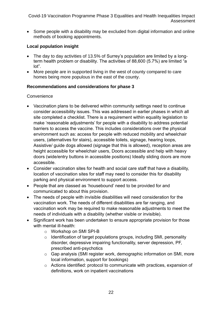• Some people with a disability may be excluded from digital information and online methods of booking appointments.

#### **Local population insight**

- The day to day activities of 13.5% of Surrey's population are limited by a longterm health problem or disability. The activities of 88,600 (5.7%) are limited "a lot".
- More people are in supported living in the west of county compared to care homes being more populous in the east of the county.

#### **Recommendations and considerations for phase 3**

#### **Convenience**

- Vaccination plans to be delivered within community settings need to continue consider accessibility issues. This was addressed in earlier phases in which all site completed a checklist. There is a requirement within equality legislation to make 'reasonable adjustments' for people with a disability to address potential barriers to access the vaccine. This includes considerations over the physical environment such as: access for people with reduced mobility and wheelchair users, (alternatives for stairs), accessible toilets, signage, hearing loops, Assistive/ guide dogs allowed (signage that this is allowed), reception areas are height accessible for wheelchair users, Doors accessible and help with heavy doors (wide/entry buttons in accessible positions) Ideally sliding doors are more accessible.
- Consider vaccination sites for health and social care staff that have a disability, location of vaccination sites for staff may need to consider this for disability parking and physical environment to support access.
- People that are classed as 'housebound' need to be provided for and communicated to about this provision.
- The needs of people with invisible disabilities will need consideration for the vaccination work. The needs of different disabilities are far ranging, and vaccination work may be required to make reasonable adjustments to meet the needs of individuals with a disability (whether visible or invisible).
- Significant work has been undertaken to ensure appropriate provision for those with mental ill-health:
	- o Workshop on SMI SPI-B
	- o Identification of target populations groups, including SMI, personality disorder, depressive impairing functionality, server depression, PF, prescribed anti-psychotics
	- o Gap analysis (SMI register work, demographic information on SMI, more local information, support for bookings)
	- o Actions identified: protocol to communicate with practices, expansion of definitions, work on inpatient vaccinations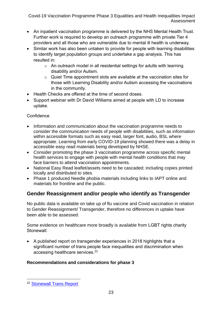- An inpatient vaccination programme is delivered by the NHS Mental Health Trust. Further work is required to develop an outreach programme with private Tier 4 providers and all those who are vulnerable due to mental ill health is underway.
- Similar work has also been untaken to provide for people with learning disabilities to identify target population groups and undertake a gap analysis. This has resulted in:
	- o An outreach model in all residential settings for adults with learning disability and/or Autism.
	- o Quiet Time appointment slots are available at the vaccination sites for those with Learning Disability and/or Autism accessing the vaccinations in the community.
- Health Checks are offered at the time of second doses.
- Support webinar with Dr David Williams aimed at people with LD to increase uptake.

#### **Confidence**

- Information and communication about the vaccination programme needs to consider the communication needs of people with disabilities, such as information within accessible formats such as easy read, larger font, audio, BSL where appropriate. Learning from early COVID-19 planning showed there was a delay in accessible easy read materials being developed by NHSE.
- Consider promoting the phase 3 vaccination programme across specific mental health services to engage with people with mental health conditions that may face barriers to attend vaccination appointments.
- National Easy Read leaflet/assets need to be cascaded; including copies printed locally and distributed to sites.
- Phase 1 produced Needle phobia materials including links to IAPT online and materials for frontline and the public.

### <span id="page-22-0"></span>**Gender Reassignment and/or people who identify as Transgender**

No public data is available on take up of flu vaccine and Covid vaccination in relation to Gender Reassignment/ Transgender, therefore no differences in uptake have been able to be assessed.

Some evidence on healthcare more broadly is available from LGBT rights charity Stonewall:

• A published report on transgender experiences in 2018 highlights that a significant number of trans people face inequalities and discrimination when accessing healthcare services.<sup>22</sup>

#### **Recommendations and considerations for phase 3**

<sup>22</sup> [Stonewall Trans Report](https://www.stonewall.org.uk/system/files/lgbt_in_britain_-_trans_report_final.pdf)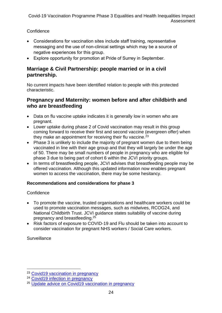#### **Confidence**

- Considerations for vaccination sites include staff training, representative messaging and the use of non-clinical settings which may be a source of negative experiences for this group.
- Explore opportunity for promotion at Pride of Surrey in September.

#### <span id="page-23-0"></span>**Marriage & Civil Partnership: people married or in a civil partnership.**

No current impacts have been identified relation to people with this protected characteristic.

#### <span id="page-23-1"></span>**Pregnancy and Maternity: women before and after childbirth and who are breastfeeding**

- Data on flu vaccine uptake indicates it is generally low in women who are pregnant.
- Lower uptake during phase 2 of Covid vaccination may result in this group coming forward to receive their first and second vaccine (evergreen offer) when they make an appointment for receiving their flu vaccine.<sup>23</sup>
- Phase 3 is unlikely to include the majority of pregnant women due to them being vaccinated in line with their age group and that they will largely be under the age of 50. There may be small numbers of people in pregnancy who are eligible for phase 3 due to being part of cohort 6 within the JCVI priority groups.
- In terms of breastfeeding people, JCVI advises that breastfeeding people may be offered vaccination. Although this updated information now enables pregnant women to access the vaccination, there may be some hesitancy.

#### **Recommendations and considerations for phase 3**

#### **Confidence**

- To promote the vaccine, trusted organisations and healthcare workers could be used to promote vaccination messages, such as midwives, RCOG24, and National Childbirth Trust. JCVI guidance states suitability of vaccine during pregnancy and breastfeeding. 25
- Risk factors of exposure to COVID-19 and Flu should be taken into account to consider vaccination for pregnant NHS workers / Social Care workers.

#### **Surveillance**

<sup>&</sup>lt;sup>23</sup> [Covid19 vaccination in pregnancy](https://www.england.nhs.uk/coronavirus/wp-content/uploads/sites/52/2021/04/c1259-jcvi-announcement-regarding-Covid-19-vaccination-during-pregnancy-and-next-steps.pdf)

<sup>&</sup>lt;sup>24</sup> [Covid19 infection in pregnancy](https://www.rcog.org.uk/globalassets/documents/guidelines/2020-10-14-coronavirus-Covid-19-infection-in-pregnancy-v12.pdf)

<sup>25</sup> [Update advice on Covid19 vaccination in pregnancy](https://www.gov.uk/government/news/jcvi-issues-new-advice-on-Covid-19-vaccination-for-pregnant-women)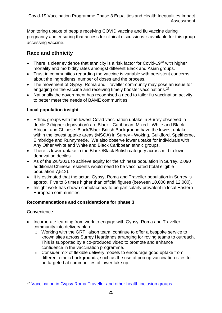Monitoring uptake of people receiving COVID vaccine and flu vaccine during pregnancy and ensuring that access for clinical discussions is available for this group accessing vaccine.

#### <span id="page-24-0"></span>**Race and ethnicity**

- There is clear evidence that ethnicity is a risk factor for Covid-19 $^{26}$  with higher mortality and morbidity rates amongst different Black and Asian groups.
- Trust in communities regarding the vaccine is variable with persistent concerns about the ingredients, number of doses and the process.
- The movement of Gypsy, Roma and Traveller community may pose an issue for engaging on the vaccine and receiving timely booster vaccinations.<sup>27</sup>
- Nationally the government has recognised a need to tailor flu vaccination activity to better meet the needs of BAME communities.

#### **Local population insight**

- Ethnic groups with the lowest Covid vaccination uptake in Surrey observed in decile 2 (higher deprivation) are Black - Caribbean, Mixed - White and Black African, and Chinese. Black/Black British Background have the lowest uptake within the lowest uptake areas (MSOA) in Surrey - Woking, Guildford, Spelthorne, Elmbridge and Runnymede. We also observe lower uptake for individuals with Any Other White and White and Black Caribbean ethnic groups.
- There is lower uptake in the Black /Black British category across mid to lower deprivation deciles.
- As of the 2/8/2021 to achieve equity for the Chinese population in Surrey, 2,090 additional Chinese residents would need to be vaccinated (total eligible population 7,512).
- It is estimated that the actual Gypsy, Roma and Traveller population in Surrey is approx. Five to 6 times higher than official figures (between 10,000 and 12,000).
- Insight work has shown complacency to be particularly prevalent in local Eastern European communities.

#### **Recommendations and considerations for phase 3**

#### **Convenience**

- Incorporate learning from work to engage with Gypsy, Roma and Traveller community into delivery plan:
	- o Working with the GRT liaison team, continue to offer a bespoke service to known sites across Surrey Heartlands arranging for roving teams to outreach. This is supported by a co-produced video to promote and enhance confidence in the vaccination programme.
	- o Consider mix of flexible delivery models to encourage good uptake from different ethnic backgrounds, such as the use of pop up vaccination sites to be targeted at communities of lower take up.

<sup>&</sup>lt;sup>27</sup> [Vaccination in Gypsy Roma Traveller and other health inclusion groups](https://www.england.nhs.uk/ltphimenu/improving-access/improving-vaccination-uptake-in-gypsy-roma-and-traveller-and-other-inclusion-health-groups-via-the-world-health-organization-who-tailoring-immunisation-programmes-tip-model/)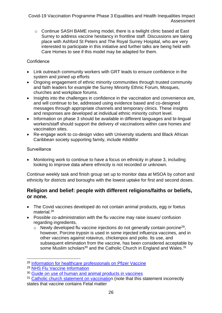o Continue SASH BAME roving model, there is a twilight clinic based at East Surrey to address vaccine hesitancy in frontline staff. Discussions are taking place with Ashford St Peters and The Royal Surrey Hospital, who are very interested to participate in this initiative and further talks are being held with Care Homes to see if this model may be adapted for them.

#### **Confidence**

- Link outreach community workers with GRT leads to ensure confidence in the system and joined up efforts
- Ongoing engagement of ethnic minority communities through trusted community and faith leaders for example the Surrey Minority Ethnic Forum, Mosques, churches and workplace forums.
- Insights into the challenges in confidence in the vaccination and convenience are, and will continue to be, addressed using evidence based and co-designed messages through appropriate channels and temporary clinics. These insights and responses are developed at individual ethnic minority cohort level.
- Information on phase 3 should be available in different languages and bi-lingual workers/staff should support the delivery of vaccinations within care homes and vaccination sites.
- Re-engage work to co-design video with University students and Black African Caribbean society supporting family, include #diditfor

#### **Surveillance**

• Monitoring work to continue to have a focus on ethnicity in phase 3, including looking to improve data where ethnicity is not recorded or unknown.

Continue weekly task and finish group set up to monitor data at MSOA by cohort and ethnicity for districts and boroughs with the lowest uptake for first and second doses.

#### <span id="page-25-0"></span>**Religion and belief: people with different religions/faiths or beliefs, or none.**

- The Covid vaccines developed do not contain animal products, egg or foetus material.<sup>28</sup>
- Possible co-administration with the flu vaccine may raise issues/ confusion regarding ingredients,
	- $\circ$  Newly developed flu vaccine injections do not generally contain porcine<sup>29</sup>, however, Porcine trypsin is used in some injected influenza vaccines, and in other vaccines against rotavirus, chickenpox and polio. Its use, and subsequent elimination from the vaccine, has been considered acceptable by some Muslim scholars<sup>30</sup> and the Catholic Church in England and Wales.<sup>31</sup>

<sup>28</sup> [Information for healthcare professionals on Pfizer Vaccine](https://www.gov.uk/government/publications/regulatory-approval-of-pfizer-biontech-vaccine-for-Covid-19/information-for-healthcare-professionals-on-pfizerbiontech-Covid-19-vaccine)

<sup>29</sup> [NHS Flu Vaccine Information](https://www.nhs.uk/conditions/vaccinations/flu-influenza-vaccine/)

<sup>&</sup>lt;sup>30</sup> [Guide on use of human and animal products in vaccines](https://www.gov.uk/government/publications/use-of-human-and-animal-products-in-vaccines/guide-to-the-use-of-human-and-animal-products-in-vaccines)

<sup>&</sup>lt;sup>31</sup> [Catholic church statement on vaccination](https://www.cbcew.org.uk/home/our-work/health-social-care/coronavirus-guidelines/update-on-Covid-19-and-vaccination/) (note that this statement incorrectly states that vaccine contains Fetal matter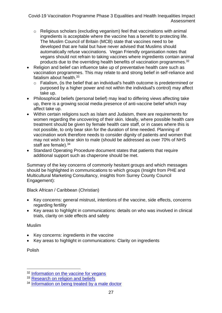- o Religious scholars (excluding veganism) feel that vaccinations with animal ingredients is acceptable where the vaccine has a benefit to protecting life. The Muslim Council of Britain (MCB) state that vaccines need to be developed that are halal but have never advised that Muslims should automatically refuse vaccinations. Vegan Friendly organisation notes that vegans should not refrain to taking vaccines where ingredients contain animal products due to the overriding health benefits of vaccination programmes.<sup>32</sup>
- Religion and belief can influence take up of preventative health care such as vaccination programmes. This may relate to and strong belief in self-reliance and fatalism about health.<sup>33</sup>
	- o Fatalism, (is the belief that an individual's health outcome is predetermined or purposed by a higher power and not within the individual's control) may affect take up.
- Philosophical beliefs (personal belief) may lead to differing views affecting take up, there is a growing social media presence of anti-vaccine belief which may affect take up.
- Within certain religions such as Islam and Judaism, there are requirements for women regarding the uncovering of their skin. Ideally, where possible health care treatment should be given by female health care staff, or in cases where this is not possible, to only bear skin for the duration of time needed. Planning of vaccination work therefore needs to consider dignity of patients and women that may not wish to bear skin to male (should be addressed as over 70% of NHS staff are female).<sup>34</sup>
- Standard Operating Procedure document states that patients that require additional support such as chaperone should be met.

Summary of the key concerns of commonly hesitant groups and which messages should be highlighted in communications to which groups (Insight from PHE and Multicultural Marketing Consultancy, insights from Surrey County Council Engagement):

Black African / Caribbean (Christian)

- Key concerns: general mistrust, intentions of the vaccine, side effects, concerns regarding fertility
- Key areas to highlight in communications: details on who was involved in clinical trials, clarity on side effects and safety

#### Muslim

- Key concerns: ingredients in the vaccine
- Key areas to highlight in communications: Clarity on ingredients

Polish

<sup>32</sup> [Information on the vaccine for vegans](https://www.veganfriendly.org.uk/health-fitness/vaccines/)

<sup>&</sup>lt;sup>33</sup> [Research on religion and beliefs](https://www.ncbi.nlm.nih.gov/pmc/articles/PMC4144788/#:~:text=A%20person%20with%20fatalistic%20beliefs,luck%2C%20fate%2C%20or%20God.&text=We%20use%20this%20term%20to,their%20religious%20beliefs%2Fspiritual%20practices)

<sup>&</sup>lt;sup>34</sup> [Information on being treated by a male doctor](http://www.imamfaisal.com/2011/11/05/can-a-muslim-woman-be-treated-by-a-male-doctor/)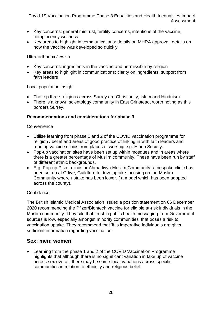- Key concerns: general mistrust, fertility concerns, intentions of the vaccine, complacency wellness
- Key areas to highlight in communications: details on MHRA approval, details on how the vaccine was developed so quickly

Ultra-orthodox Jewish

- Key concerns: ingredients in the vaccine and permissible by religion
- Key areas to highlight in communications: clarity on ingredients, support from faith leaders

Local population insight

- The top three religions across Surrey are Christianity, Islam and Hinduism.
- There is a known scientology community in East Grinstead, worth noting as this borders Surrey.

#### **Recommendations and considerations for phase 3**

#### **Convenience**

- Utilise learning from phase 1 and 2 of the COVID vaccination programme for religion / belief and areas of good practice of linking in with faith leaders and running vaccine clinics from places of worship e.g. Hindu Society.
- Pop-up vaccination sites have been set up within mosques and in areas where there is a greater percentage of Muslim community. These have been run by staff of different ethnic backgrounds.
- E.g. Pop-up Pfizer clinic for Ahmadiyya Muslim Community- a bespoke clinic has been set up at G-live, Guildford to drive uptake focusing on the Muslim Community where uptake has been lower. ( a model which has been adopted across the county).

#### **Confidence**

The British Islamic Medical Association issued a position statement on 06 December 2020 recommending the Pfizer/Biontech vaccine for eligible at-risk individuals in the Muslim community. They cite that 'trust in public health messaging from Government sources is low, especially amongst minority communities' that poses a risk to vaccination uptake. They recommend that 'it is imperative individuals are given sufficient information regarding vaccination'.

#### <span id="page-27-0"></span>**Sex: men; women**

• Learning from the phase 1 and 2 of the COVID Vaccination Programme highlights that although there is no significant variation in take up of vaccine across sex overall, there may be some local variations across specific communities in relation to ethnicity and religious belief.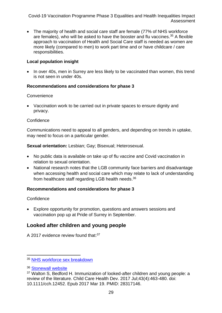• The majority of health and social care staff are female (77% of NHS workforce are females), who will be asked to have the booster and flu vaccines. <sup>35</sup> A flexible approach to vaccination of Health and Social Care staff is needed as women are more likely (compared to men) to work part time and or have childcare / care responsibilities.

#### **Local population insight**

• In over 40s, men in Surrey are less likely to be vaccinated than women, this trend is not seen in under 40s.

#### **Recommendations and considerations for phase 3**

#### **Convenience**

• Vaccination work to be carried out in private spaces to ensure dignity and privacy.

#### **Confidence**

Communications need to appeal to all genders, and depending on trends in uptake, may need to focus on a particular gender.

**Sexual orientation:** Lesbian; Gay; Bisexual; Heterosexual.

- No public data is available on take up of flu vaccine and Covid vaccination in relation to sexual orientation.
- National research notes that the LGB community face barriers and disadvantage when accessing health and social care which may relate to lack of understanding from healthcare staff regarding LGB health needs.<sup>36</sup>

#### **Recommendations and considerations for phase 3**

#### **Confidence**

• Explore opportunity for promotion, questions and answers sessions and vaccination pop up at Pride of Surrey in September.

#### <span id="page-28-0"></span>**Looked after children and young people**

A 2017 evidence review found that:<sup>37</sup>

<sup>35</sup> [NHS workforce sex breakdown](https://www.nhsemployers.org/engagement-and-networks/health-and-care-women-leaders-network/women-in-the-nhs#:~:text=77%20per%20cent%20of%20the%20NHS%20workforce%20are,Gender%20in%20the%20NHS%20infographic%20for%20more%20information.)

<sup>36</sup> [Stonewall website](https://www.nhsemployers.org/engagement-and-networks/health-and-care-women-leaders-network/women-in-the-nhs#:~:text=77%20per%20cent%20of%20the%20NHS%20workforce%20are,Gender%20in%20the%20NHS%20infographic%20for%20more%20information.)

 $37$  Walton S. Bedford H. Immunization of looked-after children and young people: a review of the literature. Child Care Health Dev. 2017 Jul;43(4):463-480. doi: 10.1111/cch.12452. Epub 2017 Mar 19. PMID: 28317146.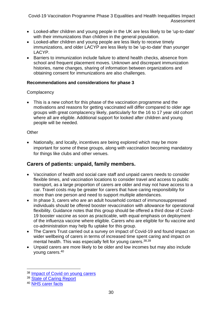- Looked-after children and young people in the UK are less likely to be 'up-to-date' with their immunizations than children in the general population.
- Looked-after children and young people are less likely to receive timely immunizations, and older LACYP are less likely to be 'up-to-date' than younger LACYP.
- Barriers to immunization include failure to attend health checks, absence from school and frequent placement moves. Unknown and discrepant immunization histories, name changes, sharing of information between organizations and obtaining consent for immunizations are also challenges.

#### **Recommendations and considerations for phase 3**

#### **Complacency**

• This is a new cohort for this phase of the vaccination programme and the motivations and reasons for getting vaccinated will differ compared to older age groups with great complacency likely, particularly for the 16 to 17 year old cohort where all are eligible. Additional support for looked after children and young people will be needed.

#### **Other**

• Nationally, and locally, incentives are being explored which may be more important for some of these groups, along with vaccination becoming mandatory for things like clubs and other venues.

#### <span id="page-29-0"></span>**Carers of patients: unpaid, family members.**

- Vaccination of health and social care staff and unpaid carers needs to consider flexible times, and vaccination locations to consider travel and access to public transport, as a large proportion of carers are older and may not have access to a car. Travel costs may be greater for carers that have caring responsibility for more than one person and need to support multiple attendances.
- In phase 3, carers who are an adult household contact of immunosuppressed individuals should be offered booster revaccination with allowance for operational flexibility. Guidance notes that this group should be offered a third dose of Covid-19 booster vaccine as soon as practicable, with equal emphasis on deployment of the influenza vaccine where eligible. Carers who are eligible for flu vaccine and co-administration may help flu uptake for this group.
- The Carers Trust carried out a survey on impact of Covid-19 and found impact on wider wellbeing of carers in terms of increased time spent caring and impact on mental health. This was especially felt for young carers.<sup>38,39</sup>
- Unpaid carers are more likely to be older and low incomes but may also include young carers. 40

<sup>&</sup>lt;sup>38</sup> [Impact of Covid on young carers](https://carers.org/we-care/measuring-the-impact-of-Covid-19-on-young-carers)

<sup>&</sup>lt;sup>39</sup> [State of Caring Report](https://www.carersuk.org/news-and-campaigns/news/state-of-caring-report-2019)

<sup>40</sup> [NHS carer facts](https://www.england.nhs.uk/commissioning/comm-carers/carer-facts/)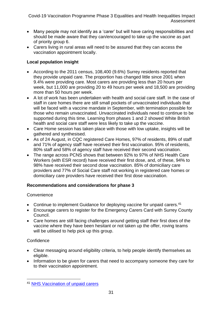- Many people may not identify as a 'carer' but will have caring responsibilities and should be made aware that they can/encouraged to take up the vaccine as part of priority group 6.
- Carers living in rural areas will need to be assured that they can access the vaccination appointment locally.

#### **Local population insight**

- According to the 2011 census, 108,400 (9.6%) Surrey residents reported that they provide unpaid care. The proportion has changed little since 2001 when 9.4% were providing care. Most carers are providing less than 20 hours per week, but 11,000 are providing 20 to 49 hours per week and 18,500 are providing more than 50 hours per week.
- A lot of work has been undertaken with health and social care staff. In the case of staff in care homes there are still small pockets of unvaccinated individuals that will be faced with a vaccine mandate in September, with termination possible for those who remain unvaccinated. Unvaccinated individuals need to continue to be supported during this time. Learning from phases 1 and 2 showed White British health and social care staff were less likely to take up the vaccine.
- Care Home session has taken place with those with low uptake, insights will be gathered and synthesised.
- As of 24 August, in CQC registered Care Homes, 97% of residents, 89% of staff and 71% of agency staff have received their first vaccination. 95% of residents, 80% staff and 58% of agency staff have received their second vaccination.
- The range across PCNS shows that between 92% to 97% of NHS Health Care Workers (with ESR record) have received their first dose, and, of these, 94% to 98% have received their second dose vaccination. 85% of domiciliary care providers and 77% of Social Care staff not working in registered care homes or domiciliary care providers have received their first dose vaccination.

#### **Recommendations and considerations for phase 3**

#### **Convenience**

- Continue to implement [Guidance for deploying vaccine for unpaid](https://www.england.nhs.uk/coronavirus/wp-content/uploads/sites/52/2021/03/C1182-sop-covid-19-vaccine-deployment-programme-unpaid-carers-jcvi-priority-cohort-6.pdf) carers.<sup>41</sup>
- Encourage carers to register for the Emergency Carers Card with Surrey County Council.
- Care homes are still facing challenges around getting staff their first does of the vaccine where they have been hesitant or not taken up the offer, roving teams will be utilised to help pick up this group.

#### **Confidence**

- Clear messaging around eligibility criteria, to help people identify themselves as eligible.
- Information to be given for carers that need to accompany someone they care for to their vaccination appointment.

<sup>41</sup> [NHS Vaccination of unpaid carers](https://www.england.nhs.uk/coronavirus/wp-content/uploads/sites/52/2021/03/C1182-sop-Covid-19-vaccine-deployment-programme-unpaid-carers-jcvi-priority-cohort-6.pdf)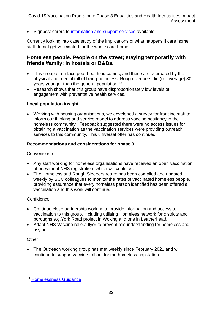• Signpost carers to [information and support services](http://www.surreycc.gov.uk/social-care-and-health/adults/looking-after-someone/your-role-as-a-carer) available

Currently looking into case study of the implications of what happens if care home staff do not get vaccinated for the whole care home.

#### <span id="page-31-0"></span>**Homeless people. People on the street; staying temporarily with friends /family; in hostels or B&Bs.**

- This group often face poor health outcomes, and these are acerbated by the physical and mental toll of being homeless. Rough sleepers die (on average) 30 years younger than the general population.<sup>42</sup>
- Research shows that this group have disproportionately low levels of engagement with preventative health services.

#### **Local population insight**

• Working with housing organisations, we developed a survey for frontline staff to inform our thinking and service model to address vaccine hesitancy in the homeless community. Feedback suggested there were no access issues for obtaining a vaccination as the vaccination services were providing outreach services to this community. This universal offer has continued.

#### **Recommendations and considerations for phase 3**

#### **Convenience**

- Any staff working for homeless organisations have received an open vaccination offer, without NHS registration, which will continue.
- The Homeless and Rough Sleepers return has been compiled and updated weekly by SCC colleagues to monitor the rates of vaccinated homeless people, providing assurance that every homeless person identified has been offered a vaccination and this work will continue.

#### **Confidence**

- Continue close partnership working to provide information and access to vaccination to this group, including utilising Homeless network for districts and boroughs e.g.York Road project in Woking and one in Leatherhead.
- Adapt NHS Vaccine rollout flyer to prevent misunderstanding for homeless and asylum.

#### **Other**

• The Outreach working group has met weekly since February 2021 and will continue to support vaccine roll out for the homeless population.

<sup>42</sup> [Homelessness Guidance](https://www.midlandsandlancashirecsu.nhs.uk/download/publications/equality_and_inclusion/Homelessness-guidance-2019.pdf)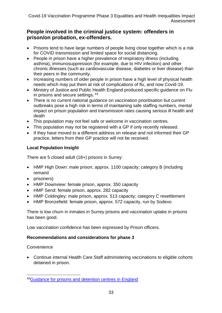#### <span id="page-32-0"></span>**People involved in the criminal justice system: offenders in prison/on probation, ex-offenders.**

- Prisons tend to have large numbers of people living close together which is a risk for COVID transmission and limited space for social distancing.
- People in prison have a higher prevalence of respiratory illness (including asthma), immunosuppression (for example, due to HIV infection) and other chronic illnesses (such as cardiovascular disease, diabetes or liver disease) than their peers in the community.
- Increasing numbers of older people in prison have a high level of physical health needs which may put them at risk of complications of flu, and now Covid-19.
- Ministry of Justice and Public Health England produced specific guidance on Flu in prisons and secure settings. <sup>43</sup>
- There is no current national guidance on vaccination prioritisation but current outbreaks pose a high risk in terms of maintaining safe staffing numbers, mental impact on prison population and transmission rates causing serious ill health and death
- This population may not feel safe or welcome in vaccination centres.
- This population may not be registered with a GP if only recently released.
- If they have moved to a different address on release and not informed their GP practice, letters from their GP practice will not be received.

#### **Local Population Insight**

There are 5 closed adult (18+) prisons in Surrey:

- HMP High Down: male prison, approx. 1100 capacity; category B (including remand
- prisoners)
- HMP Downview: female prison, approx. 350 capacity
- HMP Send: female prison, approx. 282 capacity
- HMP Coldingley: male prison, approx. 513 capacity; category C resettlement
- HMP Bronzefield: female prison, approx. 572 capacity, run by Sodexo

There is low churn in inmates in Surrey prisons and vaccination uptake in prisons has been good.

Low vaccination confidence has been expressed by Prison officers.

#### **Recommendations and considerations for phase 3**

**Convenience** 

• Continue internal Health Care Staff administering vaccinations to eligible cohorts detained in prison.

<sup>43</sup> [Guidance for prisons and detention centres in England](https://www.gov.uk/government/publications/seasonal-flu-in-prisons-and-detention-centres-in-england-guidance-for-prison-staff-and-healthcare-professionals/flu-in-prisons-and-secure-settings-adult-guidance)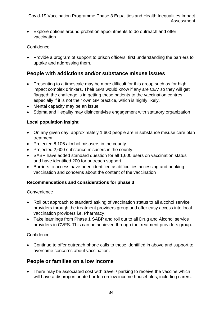• Explore options around probation appointments to do outreach and offer vaccination.

#### **Confidence**

• Provide a program of support to prison officers, first understanding the barriers to uptake and addressing them.

#### <span id="page-33-0"></span>**People with addictions and/or substance misuse issues**

- Presenting to a timescale may be more difficult for this group such as for high impact complex drinkers. Their GPs would know if any are CEV so they will get flagged; the challenge is in getting these patients to the vaccination centres especially if it is not their own GP practice, which is highly likely.
- Mental capacity may be an issue.
- Stigma and illegality may disincentivise engagement with statutory organization

#### **Local population insight**

- On any given day, approximately 1,600 people are in substance misuse care plan treatment.
- Projected 8,106 alcohol misusers in the county.
- Projected 2,600 substance misusers in the county.
- SABP have added standard question for all 1,600 users on vaccination status and have identified 200 for outreach support
- Barriers to access have been identified as difficulties accessing and booking vaccination and concerns about the content of the vaccination

#### **Recommendations and considerations for phase 3**

#### **Convenience**

- Roll out approach to standard asking of vaccination status to all alcohol service providers through the treatment providers group and offer easy access into local vaccination providers i.e. Pharmacy.
- Take learnings from Phase 1 SABP and roll out to all Drug and Alcohol service providers in CVFS. This can be achieved through the treatment providers group.

#### **Confidence**

• Continue to offer outreach phone calls to those identified in above and support to overcome concerns about vaccination.

#### <span id="page-33-1"></span>**People or families on a low income**

• There may be associated cost with travel / parking to receive the vaccine which will have a disproportionate burden on low income households, including carers.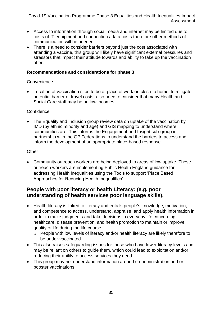- Access to information through social media and internet may be limited due to costs of IT equipment and connection / data costs therefore other methods of communication will be needed.
- There is a need to consider barriers beyond just the cost associated with attending a vaccine, this group will likely have significant external pressures and stressors that impact their attitude towards and ability to take up the vaccination offer.

#### **Recommendations and considerations for phase 3**

#### **Convenience**

• Location of vaccination sites to be at place of work or 'close to home' to mitigate potential barrier of travel costs, also need to consider that many Health and Social Care staff may be on low incomes.

#### **Confidence**

• The Equality and Inclusion group review data on uptake of the vaccination by IMD (by ethnic minority and age) and GIS mapping to understand where communities are. This informs the Engagement and Insight sub-group in partnership with the GP Federations to understand the barriers to access and inform the development of an appropriate place-based response.

#### **Other**

• Community outreach workers are being deployed to areas of low uptake. These outreach workers are implementing Public Health England guidance for addressing Health inequalities using the Tools to support 'Place Based Approaches for Reducing Health Inequalities'.

#### <span id="page-34-0"></span>**People with poor literacy or health Literacy: (e.g. poor understanding of health services poor language skills).**

- Health literacy is linked to literacy and entails people's knowledge, motivation, and competence to access, understand, appraise, and apply health information in order to make judgments and take decisions in everyday life concerning healthcare, disease prevention, and health promotion to maintain or improve quality of life during the life course.
	- o People with low levels of literacy and/or health literacy are likely therefore to be under-vaccinated.
- This also raises safeguarding issues for those who have lower literacy levels and may be reliant on others to guide them, which could lead to exploitation and/or reducing their ability to access services they need.
- This group may not understand information around co-administration and or booster vaccinations.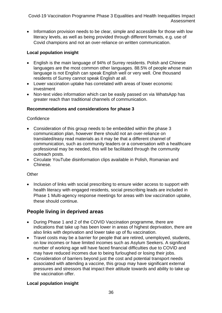• Information provision needs to be clear, simple and accessible for those with low literacy levels, as well as being provided through different formats, e.g. use of Covid champions and not an over-reliance on written communication.

#### **Local population insight**

- English is the main language of 94% of Surrey residents. Polish and Chinese languages are the most common other languages. 88.5% of people whose main language is not English can speak English well or very well. One thousand residents of Surrey cannot speak English at all.
- Lower vaccination uptake has correlated with areas of lower economic investment
- Non-text video information which can be easily passed on via WhatsApp has greater reach than traditional channels of communication.

#### **Recommendations and considerations for phase 3**

#### **Confidence**

- Consideration of this group needs to be embedded within the phase 3 communication plan, however there should not an over-reliance on translated/easy read materials as it may be that a different channel of communication, such as community leaders or a conversation with a healthcare professional may be needed, this will be facilitated through the community outreach posts.
- Circulate YouTube disinformation clips available in Polish, Romanian and Chinese.

#### **Other**

• Inclusion of links with social prescribing to ensure wider access to support with health literacy with engaged residents, social prescribing leads are included in Phase 1 Multi-agency response meetings for areas with low vaccination uptake, these should continue.

#### <span id="page-35-0"></span>**People living in deprived areas**

- During Phase 1 and 2 of the COVID Vaccination programme, there are indications that take up has been lower in areas of highest deprivation, there are also links with deprivation and lower take up of flu vaccination.
- Travel costs may be a barrier for people that are retired, unemployed, students, on low incomes or have limited incomes such as Asylum Seekers. A significant number of working age will have faced financial difficulties due to COVID and may have reduced incomes due to being furloughed or losing their jobs.
- Consideration of barriers beyond just the cost and potential transport needs associated with attending a vaccine, this group may have significant external pressures and stressors that impact their attitude towards and ability to take up the vaccination offer.

#### **Local population insight**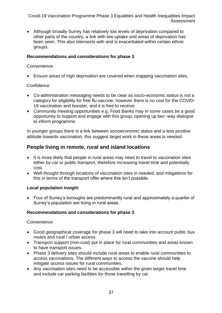• Although broadly Surrey has relatively low levels of deprivation compared to other parts of the country, a link with low uptake and areas of deprivation has been seen. This also intersects with and is exacerbated within certain ethnic groups.

#### **Recommendations and considerations for phase 3**

#### **Convenience**

• Ensure areas of high deprivation are covered when mapping vaccination sites.

#### **Confidence**

- Co-administration messaging needs to be clear as socio-economic status is not a category for eligibility for free flu vaccine, however there is no cost for the COVID-19 vaccination and booster, and it is free to receive.
- Community meeting opportunities e.g. Food Banks may in some cases be a good opportunity to support and engage with this group, opening up two -way dialogue to inform programme.

In younger groups there is a link between socioeconomic status and a less positive attitude towards vaccination, this suggest target work in these areas is needed.

#### <span id="page-36-0"></span>**People living in remote, rural and island locations**

- It is more likely that people in rural areas may need to travel to vaccination sites either by car or public transport, therefore increasing travel time and potentially cost.
- Well thought through locations of vaccination sites in needed, and mitigations for this in terms of the transport offer where this isn't possible.

#### **Local population insight**

• Four of Surrey's boroughs are predominantly rural and approximately a quarter of Surrey's population are living in rural areas.

#### **Recommendations and considerations for phase 3**

#### **Convenience**

- Good geographical coverage for phase 3 will need to take into account public bus routes and rural / urban access.
- Transport support (non-cost) put in place for rural communities and areas known to have transport issues.
- Phase 3 delivery sites should include rural areas to enable rural communities to access vaccinations. The different ways to access the vaccine should help mitigate access issues for rural communities.
- Any vaccination sites need to be accessible within the given target travel time and include car parking facilities for those travelling by car.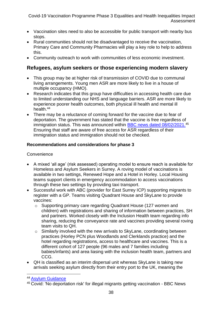- Vaccination sites need to also be accessible for public transport with nearby bus stops.
- Rural communities should not be disadvantaged to receive the vaccination, Primary Care and Community Pharmacies will play a key role to help to address this.
- Community outreach to work with communities of less economic investment.

#### <span id="page-37-0"></span>**Refugees, asylum seekers or those experiencing modern slavery**

- This group may be at higher risk of transmission of COVID due to communal living arrangements. Young men ASR are more likely to live in a house of multiple occupancy (HMO).
- Research indicates that this group have difficulties in accessing health care due to limited understanding our NHS and language barriers. ASR are more likely to experience poorer health outcomes, both physical ill health and mental ill health. 44
- There may be a reluctance of coming forward for the vaccine due to fear of deportation. The government has stated that the vaccine is free regardless of immigration status. This was announced within [BBC news dated 08/02/2021.](https://www.bbc.co.uk/news/amp/uk-politics-55978334)<sup>45</sup> Ensuring that staff are aware of free access for ASR regardless of their immigration status and immigration should not be checked.

#### **Recommendations and considerations for phase 3**

#### **Convenience**

- A mixed 'all age' (risk assessed) operating model to ensure reach is available for Homeless and Asylum Seekers in Surrey. A roving model of vaccinations is available in two settings, Renewed Hope and a Hotel in Horley. Local Housing teams support clients in emergency accommodation to access vaccinations through these two settings by providing taxi transport.
- Successful work with ABC (provider for East Surrey ICP) supporting migrants to register with a GP. Teams visiting Quadrant House and SkyLane to provide vaccines:
	- o Supporting primary care regarding Quadrant House (127 women and children) with registrations and sharing of information between practices, SH and partners. Worked closely with the Inclusion Health team regarding info sharing, reducing the conveyance rate and vaccines providing several roving team visits to QH.
	- o Similarly involved with the new arrivals to SkyLane, coordinating between practices (Horley PCN plus Woodlands and Clerklands practice) and the hotel regarding registrations, access to healthcare and vaccines. This is a different cohort of 127 people (96 males and 7 families including babies/infants) and area liasing with the inclusion health team, partners and CCG.
- QH is classified as an interim dispersal unit whereas SkyLane is taking new arrivals seeking asylum directly from their entry port to the UK, meaning the

<sup>44</sup> [Asylum Guidance](http://www.midlandsandlancashirecsu.nhs.uk/download/publications/equality_and_inclusion/Asylum-Guidance.pdf)

<sup>45</sup> [Covid: 'No deportation risk' for illegal migrants getting vaccination -](https://www.bbc.co.uk/news/amp/uk-politics-55978334) BBC News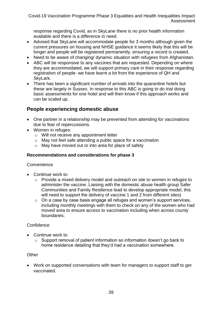response regarding Covid, as in SkyLane there is no prior health information available and there is a difference in need.

- Advised that SkyLane will accommodate people for 3 months although given the current pressures on housing and NHSE guidance it seems likely that this will be longer and people will be registered permanently, ensuring a record is created.
- Need to be aware of changing/ dynamic situation with refugees from Afghanistan.
- ABC will be responsive to any vaccines that are requested. Depending on where they are accommodated, we will support primary care in their response regarding registration of people- we have learnt a lot from the experience of QH and SkyLark.
- There has been a significant number of arrivals into the quarantine hotels but these are largely in Sussex. In response to this ABC is going to do trial doing basic assessments for one hotel and will then know if this approach works and can be scaled up.

#### <span id="page-38-0"></span>**People experiencing domestic abuse**

- One partner in a relationship may be prevented from attending for vaccinations due to fear of repercussions.
- Women in refuges:
	- o Will not receive any appointment letter
	- o May not feel safe attending a public space for a vaccination
	- o May have moved out or into area for place of safety

#### **Recommendations and considerations for phase 3**

#### **Convenience**

- Continue work to:
	- o Provide a mixed delivery model and outreach on site to women in refuges to administer the vaccine. Liaising with the domestic abuse health group Safer Communities and Family Resilience lead to develop appropriate model, this will need to support the delivery of vaccine 1 and 2 from different sites)
	- o On a case by case basis engage all refuges and women's support services, including monthly meetings with them to check on any of the women who had moved area to ensure access to vaccination including when across county boundaries.

#### **Confidence**

- Continue work to:
	- o Support removal of patient information so information doesn't go back to home residence detailing that they'd had a vaccination somewhere.

#### **Other**

• Work on supported conversations with team for managers to support staff to get vaccinated.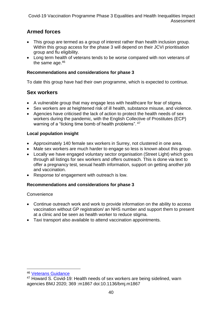#### <span id="page-39-0"></span>**Armed forces**

- This group are termed as a group of interest rather than health inclusion group. Within this group access for the phase 3 will depend on their JCVI prioritisation group and flu eligibility.
- Long term health of veterans tends to be worse compared with non veterans of the same age.<sup>46</sup>

#### **Recommendations and considerations for phase 3**

To date this group have had their own programme, which is expected to continue.

#### <span id="page-39-1"></span>**Sex workers**

- A vulnerable group that may engage less with healthcare for fear of stigma.
- Sex workers are at heightened risk of ill health, substance misuse, and violence.
- Agencies have criticised the lack of action to protect the health needs of sex workers during the pandemic, with the English Collective of Prostitutes (ECP) warning of a "ticking time bomb of health problems". <sup>47</sup>

#### **Local population insight**

- Approximately 140 female sex workers in Surrey, not clustered in one area.
- Male sex workers are much harder to engage so less is known about this group.
- Locally we have engaged voluntary sector organisation (Street Light) which goes through all listings for sex workers and offers outreach. This is done via text to offer a pregnancy test, sexual health information, support on getting another job and vaccination.
- Response to/ engagement with outreach is low.

#### **Recommendations and considerations for phase 3**

**Convenience** 

- Continue outreach work and work to provide information on the ability to access vaccination without GP registration/ an NHS number and support them to present at a clinic and be seen as health worker to reduce stigma.
- Taxi transport also available to attend vaccination appointments.

<sup>46</sup> [Veterans Guidance](https://www.midlandsandlancashirecsu.nhs.uk/wp-content/uploads/2019/04/VETERANS-GUIDANCE-2019.pdf)

<sup>47</sup> Howard S. Covid-19: Health needs of sex workers are being sidelined, warn agencies BMJ 2020; 369 :m1867 doi:10.1136/bmj.m1867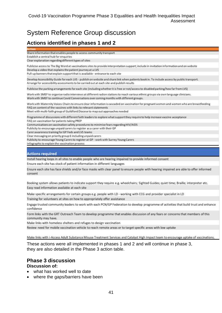## <span id="page-40-0"></span>System Reference Group discussion

#### <span id="page-40-1"></span>**Actions identified in phases 1 and 2**

Share information that enables people to access community transport

Establish a central hub for enquiries

Clear explanation regarding different types of sites

Publicise access to The Big Word at vaccinations sites to provide interpretation support; include in invitation information and on website Develop a video that explains the patient journey at a LVS

Pull-up banners that explain support that is available - entrance to each site

Develop Accessibility Guide for each LVS - publish on website and share link when patients book in. To include access by public transport. Arrange for accessibility assessments to be carried out at each site and publish results

Publicise the parking arrangements for each site (including whether it is free or not/access to disabled parking/how far from LVS)

Work with SMEF to organise radio interviews at different radion stations to reach various ethnic groups via own language clinicians. Work with SMEF to continue Covid Conversations over coming months with different groups.

Work with Maternity Voices Chairs to ensure clear information is cascaded on vaccination for pregnant women and women who are breastfeeding FAQ on content of the vaccines with links to relevant statements

Meet with multi-faith group of Guildford Diocese to map out approaches needed

Programme of discussions with different faith leaders to explore what support they require to help increase vaccine acceptance

FAQ on vaccination for patients taking PREP

Communications on vaccination safety procedures to minimise fears regarding HIV/AIDS

Publicity to encourage unpaid carers to register as a carer with their GP

Carer awareness training for GP Feds and LVS teams

Clear messaging on priority group 6 including unpaid carers

Publicity to encourage Young Carers to register at GP - work with Surrey Young Carers

Infographic to explain the vaccination process

#### **Actions required**

Install hearing loops in all sites to enable people who are hearing impaired to provide informed consent

Ensure each site has stock of patient information in different languages

Ensure each site has face shields and/or face masks with clear panel to ensure people with hearing impaired are able to offer informed consent

Booking system allows patients to indicate support they require e.g. wheelchairs; Sighted Guides; quiet time; Braille; interpreter etc. Easy read information available at each site

Make specific arrangements for certain groups e.g. people with LD - working with CCG and provider specialist in LD Training for volunteers at sites on how to appropriately offer assistance

Engage trusted community leaders to work with each PCN/GP Federation to develop programme of activities that build trust and enhance confidence

Form links with the GRT Outreach Team to develop programme that enables discussion of any fears or concerns that members of this community may have.

Make links with homeless shelters and refuges to design vaccination

Review need for mobile vaccination vehicle to reach remote areas or to target specific areas with low uptake

Make links with i-Access Adult Substance Misuse Treatment Services and Catalyst High Impact team to encourage uptake of vaccinations.

These actions were all implemented in phases 1 and 2 and will continue in phase 3, they are also detailed in the Phase 3 action table.

#### <span id="page-40-2"></span>**Phase 3 discussion Discussion of:**

- what has worked well to date
- where the gaps/barriers have been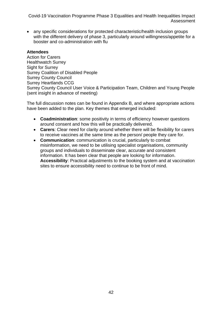• any specific considerations for protected characteristic/health inclusion groups with the different delivery of phase 3, particularly around willingness/appetite for a booster and co-administration with flu

#### **Attendees**

Action for Carers Healthwatch Surrey Sight for Surrey Surrey Coalition of Disabled People Surrey County Council Surrey Heartlands CCG Surrey County Council User Voice & Participation Team, Children and Young People (sent insight in advance of meeting)

The full discussion notes can be found in Appendix B, and where appropriate actions have been added to the plan. Key themes that emerged included:

- **Coadministration**: some positivity in terms of efficiency however questions around consent and how this will be practically delivered.
- **Carers**: Clear need for clarity around whether there will be flexibility for carers to receive vaccines at the same time as the person/ people they care for.
- **Communication**: communication is crucial, particularly to combat misinformation, we need to be utilising specialist organisations, community groups and individuals to disseminate clear, accurate and consistent information. It has been clear that people are looking for information. **Accessibility**: Practical adjustments to the booking system and at vaccination sites to ensure accessibility need to continue to be front of mind.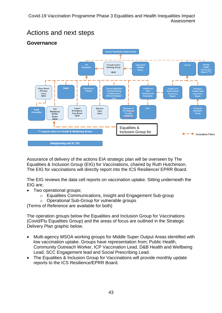<span id="page-42-0"></span>



#### <span id="page-42-1"></span>**Governance**

Assurance of delivery of the actions EIA strategic plan will be overseen by The Equalities & Inclusion Group (EIG) for Vaccinations, chaired by Ruth Hutchinson. The EIG for vaccinations will directly report into the ICS Resilience/ EPRR Board.

The EIG reviews the data cell reports on vaccination uptake. Sitting underneath the EIG are;

- Two operational groups:
	- o Equalities Communications, Insight and Engagement Sub-group
	- o Operational Sub-Group for vulnerable groups

(Terms of Reference are available for both)

The operation groups below the Equalities and Inclusion Group for Vaccinations (Covid/Flu Equalities Group) and the areas of focus are outlined in the Strategic Delivery Plan graphic below.

- Multi-agency MSOA working groups for Middle Super Output Areas identified with low vaccination uptake. Groups have representation from; Public Health, Community Outreach Worker, ICP Vaccination Lead, D&B Health and Wellbeing Lead, SCC Engagement lead and Social Prescribing Lead.
- The Equalities & Inclusion Group for Vaccinations will provide monthly update reports to the ICS Resilience/EPRR Board.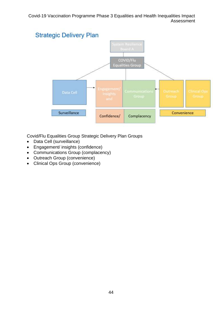

Covid/Flu Equalities Group Strategic Delivery Plan Groups

- Data Cell (surveillance)
- Engagement/ insights (confidence)
- Communications Group (complacency)
- Outreach Group (convenience)
- Clinical Ops Group (convenience)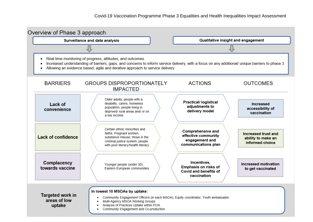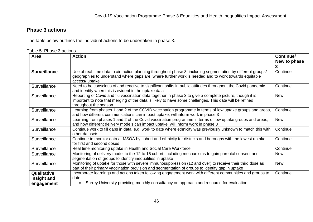#### **Phase 3 actions**

The table below outlines the individual actions to be undertaken in phase 3.

Table 5: Phase 3 actions

<span id="page-45-0"></span>

| Area                | <b>Action</b>                                                                                                                                                                                                                                | Continue/<br>New to phase<br>3 |
|---------------------|----------------------------------------------------------------------------------------------------------------------------------------------------------------------------------------------------------------------------------------------|--------------------------------|
| <b>Surveillance</b> | Use of real-time data to aid action planning throughout phase 3, including segmentation by different groups/<br>geographies to understand where gaps are, where further work is needed and to work towards equitable<br>access/ uptake       | Continue                       |
| Surveillance        | Need to be conscious of and reactive to significant shifts in public attitudes throughout the Covid pandemic<br>and identify when this is evident in the uptake data                                                                         | Continue                       |
| Surveillance        | Reporting of Covid and flu vaccination data together in phase 3 to give a complete picture, though it is<br>important to note that merging of the data is likely to have some challenges. This data will be refined<br>throughout the season | <b>New</b>                     |
| Surveillance        | Learning from phases 1 and 2 of the COVID vaccination programme in terms of low uptake groups and areas,<br>and how different communications can impact uptake, will inform work in phase 3                                                  | Continue                       |
| Surveillance        | Learning from phases 1 and 2 of the Covid vaccination programme in terms of low uptake groups and areas,<br>and how different delivery models can impact uptake, will inform work in phase 3                                                 | <b>New</b>                     |
| Surveillance        | Continue work to fill gaps in data, e.g. work to date where ethnicity was previously unknown to match this with<br>other datasets                                                                                                            | Continue                       |
| Surveillance        | Continue to monitor data at MSOA by cohort and ethnicity for districts and boroughs with the lowest uptake<br>for first and second doses                                                                                                     | Continue                       |
| Surveillance        | Real time monitoring uptake in Health and Social Care Workforce                                                                                                                                                                              | Continue                       |
| Surveillance        | Monitoring of delivery model to the 12 to 15 cohort, including mechanisms to gain parental consent and<br>segmentation of groups to identify inequalities in uptake                                                                          | <b>New</b>                     |
| Surveillance        | Monitoring of uptake for those with severe immunosuppression (12 and over) to receive their third dose as<br>part of their primary vaccination provision and segmentation of groups to identify gap in uptake                                | <b>New</b>                     |
| Qualitative         | Incorporate learnings and actions taken following engagement work with different communities and groups to                                                                                                                                   | Continue                       |
| insight and         | date                                                                                                                                                                                                                                         |                                |
| engagement          | Surrey University providing monthly consultancy on approach and resource for evaluation                                                                                                                                                      |                                |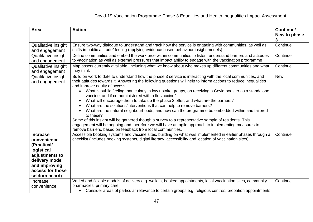| Area                                                                                                                                                  | <b>Action</b>                                                                                                                                                                                                                                                                                                                                                                                                                                                                                                                                                                                                                                                                                                                                                                                                                                                                                                                                                                                                                      | Continue/<br>New to phase<br>3 |
|-------------------------------------------------------------------------------------------------------------------------------------------------------|------------------------------------------------------------------------------------------------------------------------------------------------------------------------------------------------------------------------------------------------------------------------------------------------------------------------------------------------------------------------------------------------------------------------------------------------------------------------------------------------------------------------------------------------------------------------------------------------------------------------------------------------------------------------------------------------------------------------------------------------------------------------------------------------------------------------------------------------------------------------------------------------------------------------------------------------------------------------------------------------------------------------------------|--------------------------------|
| Qualitative insight<br>and engagement                                                                                                                 | Ensure two-way dialogue to understand and track how the service is engaging with communities, as well as<br>shifts in public attitude/ feeling (applying evidence based behaviour insight models)                                                                                                                                                                                                                                                                                                                                                                                                                                                                                                                                                                                                                                                                                                                                                                                                                                  | Continue                       |
| <b>Qualitative insight</b><br>and engagement                                                                                                          | Define communities and embed the workforce within communities to listen, understand barriers and attitudes<br>to vaccination as well as external pressures that impact ability to engage with the vaccination programme                                                                                                                                                                                                                                                                                                                                                                                                                                                                                                                                                                                                                                                                                                                                                                                                            | Continue                       |
| Qualitative insight<br>and engagement                                                                                                                 | Map assets currently available, including what we know about who makes up different communities and what<br>they think                                                                                                                                                                                                                                                                                                                                                                                                                                                                                                                                                                                                                                                                                                                                                                                                                                                                                                             | Continue                       |
| Qualitative insight<br>and engagement                                                                                                                 | Build on work to date to understand how the phase 3 service is interacting with the local communities, and<br>their attitudes towards it. Answering the following questions will help to inform actions to reduce inequalities<br>and improve equity of access:<br>What is public feeling, particularly in low uptake groups, on receiving a Covid booster as a standalone<br>vaccine, and if co-administered with a flu vaccine?<br>What will encourage them to take up the phase 3 offer, and what are the barriers?<br>$\bullet$<br>What are the solutions/interventions that can help to remove barriers?<br>$\bullet$<br>What are the natural neighbourhoods, and how can the programme be embedded within and tailored<br>$\bullet$<br>to these?<br>Some of this insight will be gathered though a survey to a representative sample of residents. This<br>engagement will be ongoing and therefore we will have an agile approach to implementing measures to<br>remove barriers, based on feedback from local communities. | <b>New</b>                     |
| <b>Increase</b><br>convenience<br>(Practical/<br>logistical<br>adjustments to<br>delivery model<br>and improving<br>access for those<br>seldom heard) | Accessible booking systems and vaccine sites, building on what was implemented in earlier phases through a<br>checklist (includes booking systems, digital literacy, accessibility and location of vaccination sites)                                                                                                                                                                                                                                                                                                                                                                                                                                                                                                                                                                                                                                                                                                                                                                                                              | Continue                       |
| Increase<br>convenience                                                                                                                               | Varied and flexible models of delivery e.g. walk in, booked appointments, local vaccination sites, community<br>pharmacies, primary care<br>Consider areas of particular relevance to certain groups e.g. religious centres, probation appointments<br>$\bullet$                                                                                                                                                                                                                                                                                                                                                                                                                                                                                                                                                                                                                                                                                                                                                                   | Continue                       |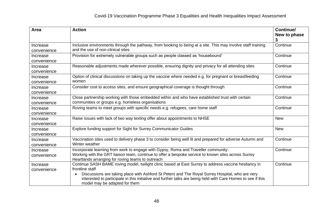| Area                    | <b>Action</b>                                                                                                                                                                                                                                                                                                                                                                             | Continue/<br>New to phase<br>3 |
|-------------------------|-------------------------------------------------------------------------------------------------------------------------------------------------------------------------------------------------------------------------------------------------------------------------------------------------------------------------------------------------------------------------------------------|--------------------------------|
| Increase<br>convenience | Inclusive environments through the pathway, from booking to being at a site. This may involve staff training<br>and the use of non-clinical sites                                                                                                                                                                                                                                         | Continue                       |
| Increase<br>convenience | Provision for extremely vulnerable groups such as people classed as 'housebound'                                                                                                                                                                                                                                                                                                          | Continue                       |
| Increase<br>convenience | Reasonable adjustments made wherever possible, ensuring dignity and privacy for all attending sites                                                                                                                                                                                                                                                                                       | Continue                       |
| Increase<br>convenience | Option of clinical discussions on taking up the vaccine where needed e.g. for pregnant or breastfeeding<br>women                                                                                                                                                                                                                                                                          | Continue                       |
| Increase<br>convenience | Consider cost to access sites, and ensure geographical coverage is thought through                                                                                                                                                                                                                                                                                                        | Continue                       |
| Increase<br>convenience | Close partnership working with those embedded within and who have established trust with certain<br>communities or groups e.g. homeless organisations                                                                                                                                                                                                                                     | Continue                       |
| Increase<br>convenience | Roving teams to meet groups with specific needs e.g. refugees, care home staff                                                                                                                                                                                                                                                                                                            | Continue                       |
| Increase<br>convenience | Raise issues with lack of two way texting offer about appointments to NHSE                                                                                                                                                                                                                                                                                                                | <b>New</b>                     |
| Increase<br>convenience | Explore funding support for Sight for Surrey Communicator Guides                                                                                                                                                                                                                                                                                                                          | <b>New</b>                     |
| Increase<br>convenience | Vaccination sites used to delivery phase 3 to consider being well lit and prepared for adverse Autumn and<br>Winter weather                                                                                                                                                                                                                                                               | Continue                       |
| Increase<br>convenience | Incorporate learning from work to engage with Gypsy, Roma and Traveller community:<br>Working with the GRT liaison team, continue to offer a bespoke service to known sites across Surrey<br>Heartlands arranging for roving teams to outreach                                                                                                                                            | Continue                       |
| Increase<br>convenience | Continue SASH BAME roving model, twilight clinic based at East Surrey to address vaccine hesitancy in<br>frontline staff<br>Discussions are taking place with Ashford St Peters and The Royal Surrey Hospital, who are very<br>$\bullet$<br>interested to participate in this initiative and further talks are being held with Care Homes to see if this<br>model may be adapted for them | Continue                       |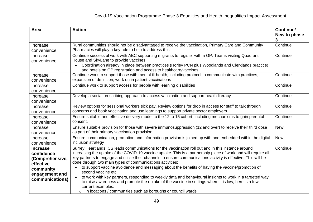| Area                                                                                                            | <b>Action</b>                                                                                                                                                                                                                                                                                                                                                                                                                                                                                                                                                                                                                                                                                                                                                                                                                                                 | Continue/<br>New to phase<br>3 |
|-----------------------------------------------------------------------------------------------------------------|---------------------------------------------------------------------------------------------------------------------------------------------------------------------------------------------------------------------------------------------------------------------------------------------------------------------------------------------------------------------------------------------------------------------------------------------------------------------------------------------------------------------------------------------------------------------------------------------------------------------------------------------------------------------------------------------------------------------------------------------------------------------------------------------------------------------------------------------------------------|--------------------------------|
| Increase<br>convenience                                                                                         | Rural communities should not be disadvantaged to receive the vaccination, Primary Care and Community<br>Pharmacies will play a key role to help to address this                                                                                                                                                                                                                                                                                                                                                                                                                                                                                                                                                                                                                                                                                               | Continue                       |
| Increase<br>convenience                                                                                         | Continue successful work with ABC supporting migrants to register with a GP. Teams visiting Quadrant<br>House and SkyLane to provide vaccines.<br>Coordination already in place between practices (Horley PCN plus Woodlands and Clerklands practice)<br>and hotels on GP registration and access to healthcare/vaccines.                                                                                                                                                                                                                                                                                                                                                                                                                                                                                                                                     | Continue                       |
| Increase<br>convenience                                                                                         | Continue work to support those with mental ill-health, including protocol to communicate with practices,<br>expansion of definition, work on in patient vaccinations                                                                                                                                                                                                                                                                                                                                                                                                                                                                                                                                                                                                                                                                                          | Continue                       |
| Increase<br>convenience                                                                                         | Continue work to support access for people with learning disabilities                                                                                                                                                                                                                                                                                                                                                                                                                                                                                                                                                                                                                                                                                                                                                                                         | Continue                       |
| Increase<br>convenience                                                                                         | Develop a social prescribing approach to access vaccination and support health literacy                                                                                                                                                                                                                                                                                                                                                                                                                                                                                                                                                                                                                                                                                                                                                                       | Continue                       |
| Increase<br>convenience                                                                                         | Review options for sessional workers sick pay. Review options for drop in access for staff to talk through<br>concerns and book vaccination and use learnings to support private sector employers                                                                                                                                                                                                                                                                                                                                                                                                                                                                                                                                                                                                                                                             | Continue                       |
| Increase<br>convenience                                                                                         | Ensure suitable and effective delivery model to the 12 to 15 cohort, including mechanisms to gain parental<br>consent.                                                                                                                                                                                                                                                                                                                                                                                                                                                                                                                                                                                                                                                                                                                                        | Continue                       |
| Increase<br>convenience                                                                                         | Ensure suitable provision for those with severe immunosuppression (12 and over) to receive their third dose<br>as part of their primary vaccination provision.                                                                                                                                                                                                                                                                                                                                                                                                                                                                                                                                                                                                                                                                                                | <b>New</b>                     |
| Increase<br>convenience                                                                                         | Ensure communication, promotion and information provision is joined up with and embedded within the digital<br>inclusion strategy                                                                                                                                                                                                                                                                                                                                                                                                                                                                                                                                                                                                                                                                                                                             | <b>New</b>                     |
| <b>Increase</b><br>confidence<br>(Comprehensive,<br>effective<br>community<br>engagement and<br>communications) | Surrey Heartlands ICS leads communications for the vaccination roll out and in this instance around<br>increasing the uptake of the COVID-19 vaccine uptake. This is a partnership piece of work and will require all<br>key partners to engage and utilise their channels to ensure communications activity is effective. This will be<br>done through two main types of communications activities:<br>to support vaccine avoidance and messaging about the benefits of having the vaccine/promotion of<br>second vaccine etc<br>to work with key partners, responding to weekly data and behavioural insights to work in a targeted way<br>$\bullet$<br>to raise awareness and promote the uptake of the vaccine in settings where it is low, here is a few<br>current examples:<br>in locations / communities such as boroughs or council wards<br>$\circ$ | Continue                       |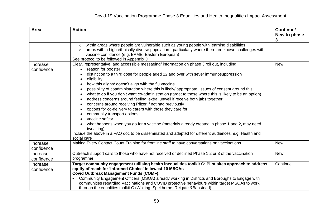| Area                   | <b>Action</b>                                                                                                                                                                                                                                                                                                                                                                                                                                                                                                                                                                                                                                                                                                                                                                                                                                                                                                                                                                                             | Continue/<br>New to phase<br>3 |
|------------------------|-----------------------------------------------------------------------------------------------------------------------------------------------------------------------------------------------------------------------------------------------------------------------------------------------------------------------------------------------------------------------------------------------------------------------------------------------------------------------------------------------------------------------------------------------------------------------------------------------------------------------------------------------------------------------------------------------------------------------------------------------------------------------------------------------------------------------------------------------------------------------------------------------------------------------------------------------------------------------------------------------------------|--------------------------------|
|                        | within areas where people are vulnerable such as young people with learning disabilities<br>$\circ$<br>areas with a high ethnically diverse population - particularly where there are known challenges with<br>$\circ$<br>vaccine confidence (e.g. BAME, Eastern European)<br>See protocol to be followed in Appendix D                                                                                                                                                                                                                                                                                                                                                                                                                                                                                                                                                                                                                                                                                   |                                |
| Increase<br>confidence | Clear, representative, and accessible messaging/ information on phase 3 roll out, including:<br>reason for booster<br>$\bullet$<br>distinction to a third dose for people aged 12 and over with sever immunosuppression<br>eligibility<br>how this aligns/ doesn't align with the flu vaccine<br>possibility of coadministration where this is likely/ appropriate, issues of consent around this<br>what to do if you don't want co-administration (target to those where this is likely to be an option)<br>address concerns around feeling 'extra' unwell if receive both jabs together<br>concerns around receiving Pfizer if not had previously<br>options for co-delivery to carers with those they care for<br>community transport options<br>vaccine safety<br>what happens when you go for a vaccine (materials already created in phase 1 and 2, may need<br>tweaking)<br>Include the above in a FAQ doc to be disseminated and adapted for different audiences, e.g. Health and<br>social care | <b>New</b>                     |
| Increase<br>confidence | Making Every Contact Count Training for frontline staff to have conversations on vaccinations                                                                                                                                                                                                                                                                                                                                                                                                                                                                                                                                                                                                                                                                                                                                                                                                                                                                                                             | <b>New</b>                     |
| Increase<br>confidence | Outreach support calls to those who have not received or declined Phase 1 2 or 3 of the vaccination<br>programme                                                                                                                                                                                                                                                                                                                                                                                                                                                                                                                                                                                                                                                                                                                                                                                                                                                                                          | <b>New</b>                     |
| Increase<br>confidence | Target community engagement utilising health inequalities toolkit C: Pilot sites approach to address<br>equity of reach for 'Informed Choice' in lowest 10 MSOAs<br><b>Covid Outbreak Management Funds (COMF):</b><br>Community Engagement Officers (MSOA) already working in Districts and Boroughs to Engage with<br>communities regarding Vaccinations and COVID protective behaviours within target MSOAs to work<br>through the equalities toolkit C (Woking, Spelthorne, Reigate & Banstead)                                                                                                                                                                                                                                                                                                                                                                                                                                                                                                        | Continue                       |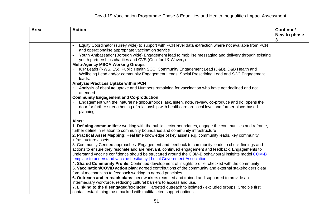| Area | <b>Action</b>                                                                                                                                                                                                               | Continue/    |
|------|-----------------------------------------------------------------------------------------------------------------------------------------------------------------------------------------------------------------------------|--------------|
|      |                                                                                                                                                                                                                             | New to phase |
|      |                                                                                                                                                                                                                             | 3            |
|      | Equity Coordinator (surrey wide) to support with PCN level data extraction where not available from PCN<br>$\bullet$<br>and operationalise appropriate vaccination service                                                  |              |
|      | • Youth Ambassador (Borough wide) Engagement lead to mobilise messaging and delivery through existing<br>youth partnerships charities and CVS (Guildford & Wavery)                                                          |              |
|      | <b>Multi-Agency MSOA Working Groups</b>                                                                                                                                                                                     |              |
|      | ICP Leads (NWS, ES), Public Health SCC, Community Engagement Lead (D&B), D&B Health and<br>Wellbeing Lead and/or community Engagement Leads, Social Prescribing Lead and SCC Engagement                                     |              |
|      | leads.                                                                                                                                                                                                                      |              |
|      | <b>Analysis Practices Uptake within PCN</b>                                                                                                                                                                                 |              |
|      | Analysis of absolute uptake and Numbers remaining for vaccination who have not declined and not<br>attended                                                                                                                 |              |
|      | <b>Community Engagement and Co-production</b>                                                                                                                                                                               |              |
|      | Engagement with the 'natural neighbourhoods' ask, listen, note, review, co-produce and do, opens the<br>door for further strengthening of relationship with healthcare are local level and further place-based<br>planning. |              |
|      | Aims:                                                                                                                                                                                                                       |              |
|      | 1. Defining communities: working with the public sector boundaries, engage the communities and reframe,<br>further define in relation to community boundaries and community infrastructure                                  |              |
|      | 2. Practical Asset Mapping: Real time knowledge of key assets e.g. community leads, key community<br>infrastructure assets                                                                                                  |              |
|      | 3. Community Centred approaches: Engagement and feedback to community leads to check findings and                                                                                                                           |              |
|      | actions to ensure they resonate and are relevant, continued engagement and feedback. Engagements to                                                                                                                         |              |
|      | understand vaccine confidence should be structured around the COM-B behavioural insights model COM-B                                                                                                                        |              |
|      | template to understand vaccine hesitancy   Local Government Association<br>4. Shared Community Profile: Continued development of insights profile, checked with the community                                               |              |
|      | 5. Vaccination/COVID action plan: agreed contributions of the community and external stakeholders clear,                                                                                                                    |              |
|      | formal mechanisms to feedback working to agreed principles                                                                                                                                                                  |              |
|      | 6. Outreach and in-reach plans: peer workers recruited and trained and supported to provide an                                                                                                                              |              |
|      | intermediary workforce, reducing cultural barriers to access and use.                                                                                                                                                       |              |
|      | 7. Linking to the disengaged/excluded: Targeted outreach to isolated / excluded groups. Credible first                                                                                                                      |              |
|      | contact establishing trust, backed with multifaceted support options                                                                                                                                                        |              |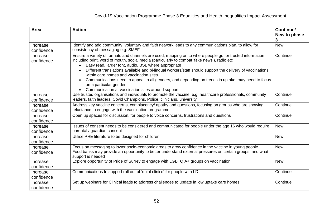| Area                   | <b>Action</b>                                                                                                                                                                                                                                                                                                                                                                                                                                                                                                                                                                                                              | Continue/<br>New to phase<br>3 |
|------------------------|----------------------------------------------------------------------------------------------------------------------------------------------------------------------------------------------------------------------------------------------------------------------------------------------------------------------------------------------------------------------------------------------------------------------------------------------------------------------------------------------------------------------------------------------------------------------------------------------------------------------------|--------------------------------|
| Increase<br>confidence | Identify and add community, voluntary and faith network leads to any communications plan, to allow for<br>consistency of messaging e.g. SMEF                                                                                                                                                                                                                                                                                                                                                                                                                                                                               | <b>New</b>                     |
| Increase<br>confidence | Ensure a variety of formats and channels are used, mapping on to where people go for trusted information<br>including print, word of mouth, social media (particularly to combat 'fake news'), radio etc<br>Easy read, larger font, audio, BSL where appropriate<br>Different translations available and bi-lingual workers/staff should support the delivery of vaccinations<br>within care homes and vaccination sites<br>Communications need to appeal to all genders, and depending on trends in uptake, may need to focus<br>$\bullet$<br>on a particular gender<br>Communication at vaccination sites around support | Continue                       |
| Increase<br>confidence | Use trusted organisations and individuals to promote the vaccine, e.g. healthcare professionals, community<br>leaders, faith leaders, Covid Champions, Police, clinicians, university                                                                                                                                                                                                                                                                                                                                                                                                                                      | Continue                       |
| Increase<br>confidence | Address key vaccine concerns, complacency/ apathy and questions, focusing on groups who are showing<br>reluctance to engage with the vaccination programme                                                                                                                                                                                                                                                                                                                                                                                                                                                                 | Continue                       |
| Increase<br>confidence | Open up spaces for discussion, for people to voice concerns, frustrations and questions                                                                                                                                                                                                                                                                                                                                                                                                                                                                                                                                    | Continue                       |
| Increase<br>confidence | Issues of consent needs to be considered and communicated for people under the age 16 who would require<br>parental / guardian consent                                                                                                                                                                                                                                                                                                                                                                                                                                                                                     | <b>New</b>                     |
| Increase<br>confidence | Utilise PHE literature to be designed for children                                                                                                                                                                                                                                                                                                                                                                                                                                                                                                                                                                         | <b>New</b>                     |
| Increase<br>confidence | Focus on messaging to lower socio-economic areas to grow confidence in the vaccine in young people<br>Food banks may provide an opportunity to better understand external pressures on certain groups, and what<br>support is needed                                                                                                                                                                                                                                                                                                                                                                                       | <b>New</b>                     |
| Increase<br>confidence | Explore opportunity of Pride of Surrey to engage with LGBTQIA+ groups on vaccination                                                                                                                                                                                                                                                                                                                                                                                                                                                                                                                                       | <b>New</b>                     |
| Increase<br>confidence | Communications to support roll out of 'quiet clinics' for people with LD                                                                                                                                                                                                                                                                                                                                                                                                                                                                                                                                                   | Continue                       |
| Increase<br>confidence | Set up webinars for Clinical leads to address challenges to update in low uptake care homes                                                                                                                                                                                                                                                                                                                                                                                                                                                                                                                                | Continue                       |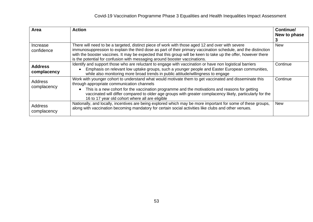| Area                          | <b>Action</b>                                                                                                                                                                                                                                                                                                                                                                                                                       | Continue/<br>New to phase |
|-------------------------------|-------------------------------------------------------------------------------------------------------------------------------------------------------------------------------------------------------------------------------------------------------------------------------------------------------------------------------------------------------------------------------------------------------------------------------------|---------------------------|
| Increase<br>confidence        | There will need to be a targeted, distinct piece of work with those aged 12 and over with severe<br>immunosuppression to explain the third dose as part of their primary vaccination schedule, and the distinction<br>with the booster vaccines. It may be expected that this group will be keen to take up the offer, however there<br>is the potential for confusion with messaging around booster vaccinations.                  | <b>New</b>                |
| <b>Address</b><br>complacency | Identify and support those who are reluctant to engage with vaccination or have non logistical barriers<br>Emphasis on relevant low uptake groups, such a younger people and Easter European communities,<br>$\bullet$<br>while also monitoring more broad trends in public attitude/willingness to engage                                                                                                                          | Continue                  |
| Address<br>complacency        | Work with younger cohort to understand what would motivate them to get vaccinated and disseminate this<br>through appropriate communication channels<br>This is a new cohort for the vaccination programme and the motivations and reasons for getting<br>$\bullet$<br>vaccinated will differ compared to older age groups with greater complacency likely, particularly for the<br>16 to 17 year old cohort where all are eligible | Continue                  |
| Address<br>complacency        | Nationally, and locally, incentives are being explored which may be more important for some of these groups,<br>along with vaccination becoming mandatory for certain social activities like clubs and other venues.                                                                                                                                                                                                                | <b>New</b>                |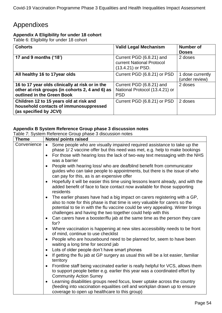## <span id="page-53-0"></span>Appendixes

#### <span id="page-53-1"></span>**Appendix A Eligibility for under 18 cohort**

Table 6: Eligibility for under 18 cohort

| <b>Cohorts</b>                                                                                                                   | <b>Valid Legal Mechanism</b>                                                 | Number of<br><b>Doses</b>          |
|----------------------------------------------------------------------------------------------------------------------------------|------------------------------------------------------------------------------|------------------------------------|
| 17 and 9 months ('18')                                                                                                           | Current PGD (6.8.21) and<br>current National Protocol<br>$(13.4.21)$ or PSD. | 2 doses                            |
| All healthy 16 to 17year olds                                                                                                    | Current PGD (6.8.21) or PSD                                                  | 1 dose currently<br>(under review) |
| 16 to 17 year olds clinically at risk or in the<br>other at-risk groups (in cohorts 2, 4 and 6) as<br>outlined in the Green Book | Current PGD (6.8.21) and<br>National Protocol (13.4.21) or<br><b>PSD</b>     | 2 doses                            |
| Children 12 to 15 years old at risk and<br>household contacts of immunosuppressed<br>(as specified by JCVI)                      | Current PGD (6.8.21) or PSD                                                  | 2 doses                            |

#### <span id="page-53-2"></span>**Appendix B System Reference Group phase 3 discussion notes**

Table 7: System Reference Group phase 3 discussion notes

| <b>Theme</b> | <b>Notes/ points raised</b>                                                                                                                                                                                                                                                                                             |
|--------------|-------------------------------------------------------------------------------------------------------------------------------------------------------------------------------------------------------------------------------------------------------------------------------------------------------------------------|
| Convenience  | Some people who are visually impaired required assistance to take up the<br>$\bullet$                                                                                                                                                                                                                                   |
|              | phase 1/2 vaccine offer but this need was met, e.g. help to make bookings                                                                                                                                                                                                                                               |
|              | For those with hearing loss the lack of two-way text messaging with the NHS<br>was a barrier                                                                                                                                                                                                                            |
|              | People with hearing loss/ who are deafblind benefit from communicator<br>guides who can take people to appointments, but there is the issue of who<br>can pay for this, as is an expensive offer                                                                                                                        |
|              | Hopefully it will be easier this time using lessons learnt already, and with the<br>$\bullet$<br>added benefit of face to face contact now available for those supporting<br>residents                                                                                                                                  |
|              | The earlier phases have had a big impact on carers registering with a GP,<br>$\bullet$<br>also to note for this phase is that time is very valuable for carers so the<br>potential to tie in with the flu vaccine could be very appealing. Winter brings<br>challenges and having the two together could help with this |
|              | Can carers have a booster/flu jab at the same time as the person they care<br>$\bullet$<br>for?                                                                                                                                                                                                                         |
|              | Where vaccination is happening at new sites accessibility needs to be front<br>$\bullet$<br>of mind, continue to use checklist                                                                                                                                                                                          |
|              | People who are housebound need to be planned for, seem to have been<br>$\bullet$<br>waiting a long time for second jab                                                                                                                                                                                                  |
|              | Lots of older people don't have smart phones<br>$\bullet$                                                                                                                                                                                                                                                               |
|              | If getting the flu jab at GP surgery as usual this will be a lot easier, familiar<br>territory                                                                                                                                                                                                                          |
|              | Frontline staff being vaccinated earlier is really helpful for VCS, allows them<br>to support people better e.g. earlier this year was a coordinated effort by<br><b>Community Action Surrey</b>                                                                                                                        |
|              | Learning disabilities groups need focus, lower uptake across the country<br>$\bullet$<br>(feeding into vaccination equalities cell and workplan drawn up to ensure<br>coverage to open up healthcare to this group)                                                                                                     |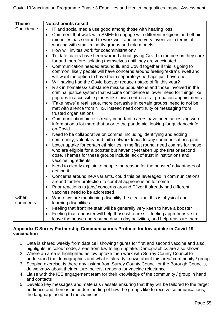| <b>Theme</b>      | Notes/ points raised                                                                                                                                                                                                                                                                                                                                                                                                                                                                                                                                                                                                                                                                                                                                                                                                                                                                                                                                                                                                                                                                                                                                                                                                                                                                                                                                                                                                                                                                                                                                                                                                                                                                                                                                                                                                                                                                                                                                                                                                                                                                                                                                                      |
|-------------------|---------------------------------------------------------------------------------------------------------------------------------------------------------------------------------------------------------------------------------------------------------------------------------------------------------------------------------------------------------------------------------------------------------------------------------------------------------------------------------------------------------------------------------------------------------------------------------------------------------------------------------------------------------------------------------------------------------------------------------------------------------------------------------------------------------------------------------------------------------------------------------------------------------------------------------------------------------------------------------------------------------------------------------------------------------------------------------------------------------------------------------------------------------------------------------------------------------------------------------------------------------------------------------------------------------------------------------------------------------------------------------------------------------------------------------------------------------------------------------------------------------------------------------------------------------------------------------------------------------------------------------------------------------------------------------------------------------------------------------------------------------------------------------------------------------------------------------------------------------------------------------------------------------------------------------------------------------------------------------------------------------------------------------------------------------------------------------------------------------------------------------------------------------------------------|
| Confidence        | IT and social media use good among those with hearing loss<br>Comment that work with SMEF to engage with different religions and ethnic<br>minorities has seemed to work well, and been very inventive in terms of<br>working with small minority groups and role models<br>How will invites work for coadministration?<br>$\bullet$<br>To date carers have been worried about giving Covid to the person they care<br>for and therefore isolating themselves until they are vaccinated<br>Communication needed around flu and Covid together if this is going to<br>common, likely people will have concerns around feeling 'extra' unwell and<br>will want the option to have them separately/ perhaps just have one<br>Will having had the Covid booster reduce uptake of flu this year?<br>$\bullet$<br>Risk in homeless/ substance misuse populations and those involved in the<br>criminal justice system that vaccine confidence is lower, need for things like<br>pop ups in accessible places like town centres or at probation appointments<br>'Fake news' a real issue, more pervasive in certain groups, need to not be<br>met with silence from NHS, instead need continuity of messaging from<br>trusted organisations<br>Communication piece is really important, carers have been accessing web<br>information a lot more that prior to the pandemic, looking for guidance/info<br>on Covid<br>Need to be collaborative on comms, including identifying and adding<br>$\bullet$<br>community, voluntary and faith network leads to any communications plan<br>Lower uptake for certain ethnicities in the first round, need comms for those<br>who are eligible for a booster but haven't yet taken up the first or second<br>dose. Themes for these groups include lack of trust in institutions and<br>vaccine ingredients<br>Need to clearly explain to people the reason for the booster/advantages of<br>$\bullet$<br>getting it<br>Concerns around new variants, could this be leveraged in communications<br>around further protection to combat apprehension for some<br>Prior reactions to jabs/ concerns around Pfizer if already had different |
|                   | vaccines need to be addressed                                                                                                                                                                                                                                                                                                                                                                                                                                                                                                                                                                                                                                                                                                                                                                                                                                                                                                                                                                                                                                                                                                                                                                                                                                                                                                                                                                                                                                                                                                                                                                                                                                                                                                                                                                                                                                                                                                                                                                                                                                                                                                                                             |
| Other<br>comments | Where we are mentioning disability, be clear that this is physical and<br>$\bullet$<br>learning disabilities                                                                                                                                                                                                                                                                                                                                                                                                                                                                                                                                                                                                                                                                                                                                                                                                                                                                                                                                                                                                                                                                                                                                                                                                                                                                                                                                                                                                                                                                                                                                                                                                                                                                                                                                                                                                                                                                                                                                                                                                                                                              |
|                   | Feeling that frontline staff will be generally very keen to have a booster<br>$\bullet$                                                                                                                                                                                                                                                                                                                                                                                                                                                                                                                                                                                                                                                                                                                                                                                                                                                                                                                                                                                                                                                                                                                                                                                                                                                                                                                                                                                                                                                                                                                                                                                                                                                                                                                                                                                                                                                                                                                                                                                                                                                                                   |
|                   | Feeling that a booster will help those who are still feeling apprehensive to<br>$\bullet$<br>leave the house and resume day to day activities, and help reassure them                                                                                                                                                                                                                                                                                                                                                                                                                                                                                                                                                                                                                                                                                                                                                                                                                                                                                                                                                                                                                                                                                                                                                                                                                                                                                                                                                                                                                                                                                                                                                                                                                                                                                                                                                                                                                                                                                                                                                                                                     |

#### <span id="page-54-0"></span>**Appendix C Surrey Partnership Communications Protocol for low uptake in Covid-19 vaccination**

- 1. Data is shared weekly from data cell showing figures for first and second vaccine and also highlights, in colour code, areas from low to high uptake. Demographics are also shown
- 2. Where an area is highlighted as low uptake then work with Surrey County Council to understand the demographics and what is already known about this area/ community / group
- 3. Scoping exercise, is there any insight from Surrey County Council or the Borough Councils, do we know about their culture, beliefs, reasons for vaccine reluctance
- 4. Liaise with the ICS engagement team for their knowledge of the community / group in hand and contacts
- 5. Develop key messages and materials / assets ensuring that they will be tailored to the target audience and there is an understanding of how the groups like to receive communications, the language used and mechanisms